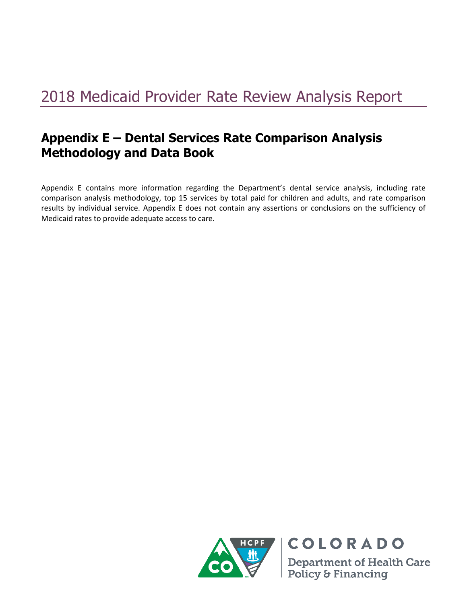# 2018 Medicaid Provider Rate Review Analysis Report

# **Appendix E – Dental Services Rate Comparison Analysis Methodology and Data Book**

Appendix E contains more information regarding the Department's dental service analysis, including rate comparison analysis methodology, top 15 services by total paid for children and adults, and rate comparison results by individual service. Appendix E does not contain any assertions or conclusions on the sufficiency of Medicaid rates to provide adequate access to care.



**Department of Health Care** Policy & Financing

**COLORADO**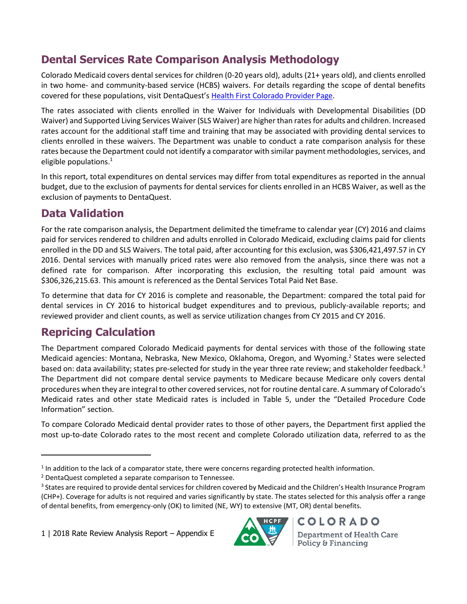# **Dental Services Rate Comparison Analysis Methodology**

Colorado Medicaid covers dental services for children (0-20 years old), adults (21+ years old), and clients enrolled in two home- and community-based service (HCBS) waivers. For details regarding the scope of dental benefits covered for these populations, visit DentaQuest's [Health First Colorado Provider Page.](http://www.dentaquest.com/state-plans/regions/colorado/dentist-page/)

The rates associated with clients enrolled in the Waiver for Individuals with Developmental Disabilities (DD Waiver) and Supported Living Services Waiver (SLS Waiver) are higher than rates for adults and children. Increased rates account for the additional staff time and training that may be associated with providing dental services to clients enrolled in these waivers. The Department was unable to conduct a rate comparison analysis for these rates because the Department could not identify a comparator with similar payment methodologies, services, and eligible populations. $1$ 

In this report, total expenditures on dental services may differ from total expenditures as reported in the annual budget, due to the exclusion of payments for dental services for clients enrolled in an HCBS Waiver, as well as the exclusion of payments to DentaQuest.

### **Data Validation**

For the rate comparison analysis, the Department delimited the timeframe to calendar year (CY) 2016 and claims paid for services rendered to children and adults enrolled in Colorado Medicaid, excluding claims paid for clients enrolled in the DD and SLS Waivers. The total paid, after accounting for this exclusion, was \$306,421,497.57 in CY 2016. Dental services with manually priced rates were also removed from the analysis, since there was not a defined rate for comparison. After incorporating this exclusion, the resulting total paid amount was \$306,326,215.63. This amount is referenced as the Dental Services Total Paid Net Base.

To determine that data for CY 2016 is complete and reasonable, the Department: compared the total paid for dental services in CY 2016 to historical budget expenditures and to previous, publicly-available reports; and reviewed provider and client counts, as well as service utilization changes from CY 2015 and CY 2016.

## **Repricing Calculation**

 $\overline{\phantom{a}}$ 

The Department compared Colorado Medicaid payments for dental services with those of the following state Medicaid agencies: Montana, Nebraska, New Mexico, Oklahoma, Oregon, and Wyoming.<sup>2</sup> States were selected based on: data availability; states pre-selected for study in the year three rate review; and stakeholder feedback.<sup>3</sup> The Department did not compare dental service payments to Medicare because Medicare only covers dental procedures when they are integral to other covered services, not for routine dental care. A summary of Colorado's Medicaid rates and other state Medicaid rates is included in Table 5, under the "Detailed Procedure Code Information" section.

To compare Colorado Medicaid dental provider rates to those of other payers, the Department first applied the most up-to-date Colorado rates to the most recent and complete Colorado utilization data, referred to as the



 $<sup>1</sup>$  In addition to the lack of a comparator state, there were concerns regarding protected health information.</sup>

<sup>2</sup> DentaQuest completed a separate comparison to Tennessee.

<sup>&</sup>lt;sup>3</sup> States are required to provide dental services for children covered by Medicaid and the Children's Health Insurance Program (CHP+). Coverage for adults is not required and varies significantly by state. The states selected for this analysis offer a range of dental benefits, from emergency-only (OK) to limited (NE, WY) to extensive (MT, OR) dental benefits.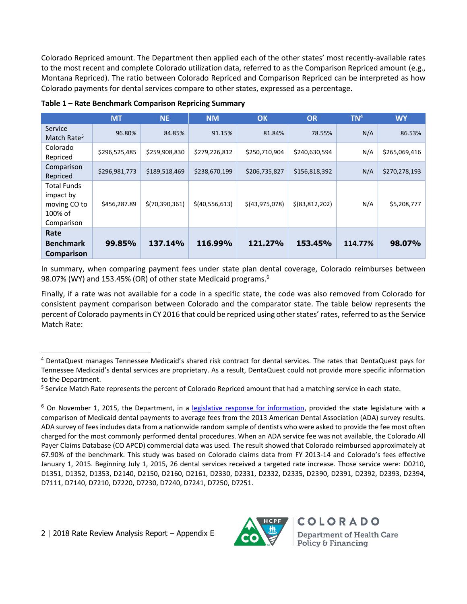Colorado Repriced amount. The Department then applied each of the other states' most recently-available rates to the most recent and complete Colorado utilization data, referred to as the Comparison Repriced amount (e.g., Montana Repriced). The ratio between Colorado Repriced and Comparison Repriced can be interpreted as how Colorado payments for dental services compare to other states, expressed as a percentage.

|                                                                          | <b>MT</b>     | <b>NE</b>        | <b>NM</b>      | <b>OK</b>      | <b>OR</b>         | TN <sup>4</sup> | <b>WY</b>     |
|--------------------------------------------------------------------------|---------------|------------------|----------------|----------------|-------------------|-----------------|---------------|
| Service<br>Match Rate <sup>5</sup>                                       | 96.80%        | 84.85%           | 91.15%         | 81.84%         | 78.55%            | N/A             | 86.53%        |
| Colorado<br>Repriced                                                     | \$296,525,485 | \$259,908,830    | \$279,226,812  | \$250,710,904  | \$240,630,594     | N/A             | \$265,069,416 |
| Comparison<br>Repriced                                                   | \$296,981,773 | \$189,518,469    | \$238,670,199  | \$206,735,827  | \$156,818,392     | N/A             | \$270,278,193 |
| <b>Total Funds</b><br>impact by<br>moving CO to<br>100% of<br>Comparison | \$456,287.89  | \$(70, 390, 361) | \$(40,556,613) | \$(43,975,078) | \$ (83, 812, 202) | N/A             | \$5,208,777   |
| Rate<br><b>Benchmark</b><br>Comparison                                   | 99.85%        | 137.14%          | 116.99%        | 121.27%        | 153.45%           | 114.77%         | 98.07%        |

**Table 1 – Rate Benchmark Comparison Repricing Summary**

In summary, when comparing payment fees under state plan dental coverage, Colorado reimburses between 98.07% (WY) and 153.45% (OR) of other state Medicaid programs.<sup>6</sup>

Finally, if a rate was not available for a code in a specific state, the code was also removed from Colorado for consistent payment comparison between Colorado and the comparator state. The table below represents the percent of Colorado payments in CY 2016 that could be repriced using other states'rates, referred to as the Service Match Rate:

 $\overline{\phantom{a}}$ 



<sup>4</sup> DentaQuest manages Tennessee Medicaid's shared risk contract for dental services. The rates that DentaQuest pays for Tennessee Medicaid's dental services are proprietary. As a result, DentaQuest could not provide more specific information to the Department.

<sup>&</sup>lt;sup>5</sup> Service Match Rate represents the percent of Colorado Repriced amount that had a matching service in each state.

<sup>&</sup>lt;sup>6</sup> On November 1, 2015, the Department, in a [legislative response for information,](https://www.colorado.gov/pacific/sites/default/files/Health%20Care%20Policy%20and%20Financing%20FY%202015-16%20RFI%201.pdf) provided the state legislature with a comparison of Medicaid dental payments to average fees from the 2013 American Dental Association (ADA) survey results. ADA survey of fees includes data from a nationwide random sample of dentists who were asked to provide the fee most often charged for the most commonly performed dental procedures. When an ADA service fee was not available, the Colorado All Payer Claims Database (CO APCD) commercial data was used. The result showed that Colorado reimbursed approximately at 67.90% of the benchmark. This study was based on Colorado claims data from FY 2013-14 and Colorado's fees effective January 1, 2015. Beginning July 1, 2015, 26 dental services received a targeted rate increase. Those service were: D0210, D1351, D1352, D1353, D2140, D2150, D2160, D2161, D2330, D2331, D2332, D2335, D2390, D2391, D2392, D2393, D2394, D7111, D7140, D7210, D7220, D7230, D7240, D7241, D7250, D7251.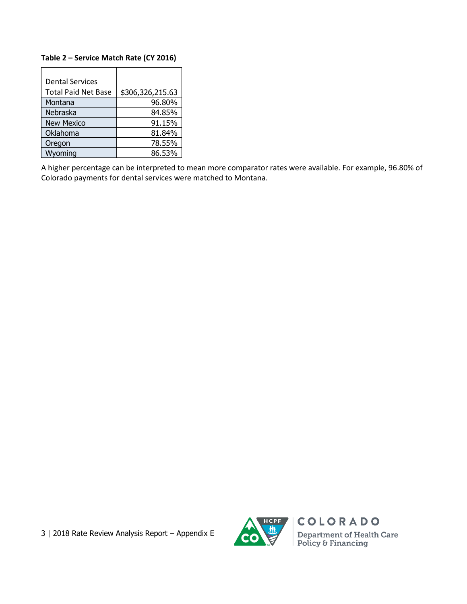#### **Table 2 – Service Match Rate (CY 2016)**

| <b>Dental Services</b>     |                  |
|----------------------------|------------------|
| <b>Total Paid Net Base</b> | \$306,326,215.63 |
| Montana                    | 96.80%           |
| Nebraska                   | 84.85%           |
| <b>New Mexico</b>          | 91.15%           |
| Oklahoma                   | 81.84%           |
| Oregon                     | 78.55%           |
| Wyoming                    | 86.53%           |

A higher percentage can be interpreted to mean more comparator rates were available. For example, 96.80% of Colorado payments for dental services were matched to Montana.

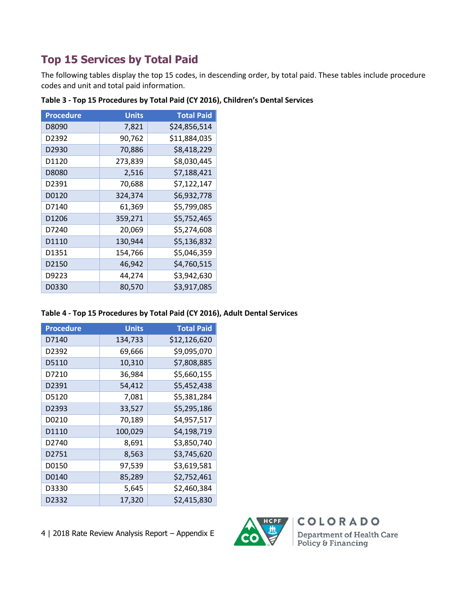# **Top 15 Services by Total Paid**

The following tables display the top 15 codes, in descending order, by total paid. These tables include procedure codes and unit and total paid information.

| <b>Procedure</b> | <b>Units</b> | <b>Total Paid</b> |
|------------------|--------------|-------------------|
| D8090            | 7,821        | \$24,856,514      |
| D2392            | 90,762       | \$11,884,035      |
| D2930            | 70,886       | \$8,418,229       |
| D1120            | 273,839      | \$8,030,445       |
| D8080            | 2,516        | \$7,188,421       |
| D2391            | 70,688       | \$7,122,147       |
| D0120            | 324,374      | \$6,932,778       |
| D7140            | 61,369       | \$5,799,085       |
| D1206            | 359,271      | \$5,752,465       |
| D7240            | 20,069       | \$5,274,608       |
| D1110            | 130,944      | \$5,136,832       |
| D1351            | 154,766      | \$5,046,359       |
| D2150            | 46,942       | \$4,760,515       |
| D9223            | 44,274       | \$3,942,630       |
| D0330            | 80,570       | \$3,917,085       |

|  |  | Table 3 - Top 15 Procedures by Total Paid (CY 2016), Children's Dental Services |  |
|--|--|---------------------------------------------------------------------------------|--|
|  |  |                                                                                 |  |

#### **Table 4 - Top 15 Procedures by Total Paid (CY 2016), Adult Dental Services**

| <b>Procedure</b>  | <b>Units</b> | <b>Total Paid</b> |
|-------------------|--------------|-------------------|
| D7140             | 134,733      | \$12,126,620      |
| D <sub>2392</sub> | 69,666       | \$9,095,070       |
| D5110             | 10,310       | \$7,808,885       |
| D7210             | 36,984       | \$5,660,155       |
| D2391             | 54,412       | \$5,452,438       |
| D5120             | 7,081        | \$5,381,284       |
| D2393             | 33,527       | \$5,295,186       |
| D0210             | 70,189       | \$4,957,517       |
| D1110             | 100,029      | \$4,198,719       |
| D <sub>2740</sub> | 8,691        | \$3,850,740       |
| D2751             | 8,563        | \$3,745,620       |
| D0150             | 97,539       | \$3,619,581       |
| D0140             | 85,289       | \$2,752,461       |
| D3330             | 5,645        | \$2,460,384       |
| D2332             | 17,320       | \$2,415,830       |

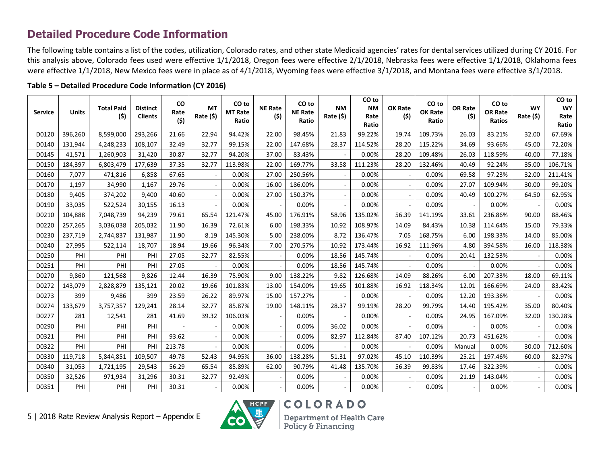### **Detailed Procedure Code Information**

The following table contains a list of the codes, utilization, Colorado rates, and other state Medicaid agencies' rates for dental services utilized during CY 2016. For this analysis above, Colorado fees used were effective 1/1/2018, Oregon fees were effective 2/1/2018, Nebraska fees were effective 1/1/2018, Oklahoma fees were effective 1/1/2018, New Mexico fees were in place as of 4/1/2018, Wyoming fees were effective 3/1/2018, and Montana fees were effective 3/1/2018.

| <b>Service</b> | <b>Units</b> | <b>Total Paid</b><br>(\$) | <b>Distinct</b><br><b>Clients</b> | <b>CO</b><br>Rate<br>(\$) | МT<br>Rate (\$) | CO to<br><b>MT Rate</b><br>Ratio | <b>NE Rate</b><br>(5)    | CO <sub>to</sub><br><b>NE Rate</b><br>Ratio | <b>NM</b><br>Rate (\$) | CO <sub>to</sub><br><b>NM</b><br>Rate<br>Ratio | <b>OK Rate</b><br>(\$)   | CO <sub>to</sub><br>OK Rate<br>Ratio | <b>OR Rate</b><br>(\$) | CO to<br><b>OR Rate</b><br>Ratios | <b>WY</b><br>Rate (\$) | CO <sub>to</sub><br><b>WY</b><br>Rate<br>Ratio |
|----------------|--------------|---------------------------|-----------------------------------|---------------------------|-----------------|----------------------------------|--------------------------|---------------------------------------------|------------------------|------------------------------------------------|--------------------------|--------------------------------------|------------------------|-----------------------------------|------------------------|------------------------------------------------|
| D0120          | 396,260      | 8,599,000                 | 293,266                           | 21.66                     | 22.94           | 94.42%                           | 22.00                    | 98.45%                                      | 21.83                  | 99.22%                                         | 19.74                    | 109.73%                              | 26.03                  | 83.21%                            | 32.00                  | 67.69%                                         |
| D0140          | 131,944      | 4,248,233                 | 108,107                           | 32.49                     | 32.77           | 99.15%                           | 22.00                    | 147.68%                                     | 28.37                  | 114.52%                                        | 28.20                    | 115.22%                              | 34.69                  | 93.66%                            | 45.00                  | 72.20%                                         |
| D0145          | 41,571       | 1,260,903                 | 31,420                            | 30.87                     | 32.77           | 94.20%                           | 37.00                    | 83.43%                                      |                        | 0.00%                                          | 28.20                    | 109.48%                              | 26.03                  | 118.59%                           | 40.00                  | 77.18%                                         |
| D0150          | 184,397      | 6,803,479                 | 177,639                           | 37.35                     | 32.77           | 113.98%                          | 22.00                    | 169.77%                                     | 33.58                  | 111.23%                                        | 28.20                    | 132.46%                              | 40.49                  | 92.24%                            | 35.00                  | 106.71%                                        |
| D0160          | 7,077        | 471,816                   | 6,858                             | 67.65                     |                 | 0.00%                            | 27.00                    | 250.56%                                     |                        | 0.00%                                          |                          | 0.00%                                | 69.58                  | 97.23%                            | 32.00                  | 211.41%                                        |
| D0170          | 1,197        | 34,990                    | 1,167                             | 29.76                     |                 | 0.00%                            | 16.00                    | 186.00%                                     |                        | 0.00%                                          | $\overline{\phantom{a}}$ | 0.00%                                | 27.07                  | 109.94%                           | 30.00                  | 99.20%                                         |
| D0180          | 9,405        | 374,202                   | 9,400                             | 40.60                     |                 | 0.00%                            | 27.00                    | 150.37%                                     |                        | 0.00%                                          |                          | 0.00%                                | 40.49                  | 100.27%                           | 64.50                  | 62.95%                                         |
| D0190          | 33,035       | 522,524                   | 30,155                            | 16.13                     |                 | 0.00%                            |                          | 0.00%                                       |                        | 0.00%                                          |                          | 0.00%                                |                        | 0.00%                             |                        | 0.00%                                          |
| D0210          | 104,888      | 7,048,739                 | 94,239                            | 79.61                     | 65.54           | 121.47%                          | 45.00                    | 176.91%                                     | 58.96                  | 135.02%                                        | 56.39                    | 141.19%                              | 33.61                  | 236.86%                           | 90.00                  | 88.46%                                         |
| D0220          | 257,265      | 3,036,038                 | 205,032                           | 11.90                     | 16.39           | 72.61%                           | 6.00                     | 198.33%                                     | 10.92                  | 108.97%                                        | 14.09                    | 84.43%                               | 10.38                  | 114.64%                           | 15.00                  | 79.33%                                         |
| D0230          | 237,719      | 2,744,837                 | 131,987                           | 11.90                     | 8.19            | 145.30%                          | 5.00                     | 238.00%                                     | 8.72                   | 136.47%                                        | 7.05                     | 168.75%                              | 6.00                   | 198.33%                           | 14.00                  | 85.00%                                         |
| D0240          | 27,995       | 522,114                   | 18,707                            | 18.94                     | 19.66           | 96.34%                           | 7.00                     | 270.57%                                     | 10.92                  | 173.44%                                        | 16.92                    | 111.96%                              | 4.80                   | 394.58%                           | 16.00                  | 118.38%                                        |
| D0250          | PHI          | PHI                       | PHI                               | 27.05                     | 32.77           | 82.55%                           | $\overline{\phantom{a}}$ | 0.00%                                       | 18.56                  | 145.74%                                        |                          | 0.00%                                | 20.41                  | 132.53%                           |                        | 0.00%                                          |
| D0251          | PHI          | PHI                       | PHI                               | 27.05                     |                 | 0.00%                            |                          | 0.00%                                       | 18.56                  | 145.74%                                        |                          | 0.00%                                |                        | 0.00%                             |                        | 0.00%                                          |
| D0270          | 9,860        | 121,568                   | 9,826                             | 12.44                     | 16.39           | 75.90%                           | 9.00                     | 138.22%                                     | 9.82                   | 126.68%                                        | 14.09                    | 88.26%                               | 6.00                   | 207.33%                           | 18.00                  | 69.11%                                         |
| D0272          | 143,079      | 2,828,879                 | 135,121                           | 20.02                     | 19.66           | 101.83%                          | 13.00                    | 154.00%                                     | 19.65                  | 101.88%                                        | 16.92                    | 118.34%                              | 12.01                  | 166.69%                           | 24.00                  | 83.42%                                         |
| D0273          | 399          | 9,486                     | 399                               | 23.59                     | 26.22           | 89.97%                           | 15.00                    | 157.27%                                     |                        | 0.00%                                          |                          | 0.00%                                | 12.20                  | 193.36%                           |                        | 0.00%                                          |
| D0274          | 133,679      | 3,757,357                 | 129,241                           | 28.14                     | 32.77           | 85.87%                           | 19.00                    | 148.11%                                     | 28.37                  | 99.19%                                         | 28.20                    | 99.79%                               | 14.40                  | 195.42%                           | 35.00                  | 80.40%                                         |
| D0277          | 281          | 12,541                    | 281                               | 41.69                     | 39.32           | 106.03%                          |                          | 0.00%                                       |                        | 0.00%                                          |                          | 0.00%                                | 24.95                  | 167.09%                           | 32.00                  | 130.28%                                        |
| D0290          | PHI          | PHI                       | PHI                               |                           |                 | 0.00%                            |                          | 0.00%                                       | 36.02                  | 0.00%                                          |                          | 0.00%                                |                        | 0.00%                             |                        | 0.00%                                          |
| D0321          | PHI          | PHI                       | PHI                               | 93.62                     |                 | 0.00%                            | $\overline{\phantom{a}}$ | 0.00%                                       | 82.97                  | 112.84%                                        | 87.40                    | 107.12%                              | 20.73                  | 451.62%                           |                        | 0.00%                                          |
| D0322          | PHI          | PHI                       | PHI                               | 213.78                    |                 | 0.00%                            |                          | 0.00%                                       |                        | 0.00%                                          |                          | 0.00%                                | Manual                 | 0.00%                             | 30.00                  | 712.60%                                        |
| D0330          | 119,718      | 5,844,851                 | 109,507                           | 49.78                     | 52.43           | 94.95%                           | 36.00                    | 138.28%                                     | 51.31                  | 97.02%                                         | 45.10                    | 110.39%                              | 25.21                  | 197.46%                           | 60.00                  | 82.97%                                         |
| D0340          | 31,053       | 1,721,195                 | 29,543                            | 56.29                     | 65.54           | 85.89%                           | 62.00                    | 90.79%                                      | 41.48                  | 135.70%                                        | 56.39                    | 99.83%                               | 17.46                  | 322.39%                           |                        | 0.00%                                          |
| D0350          | 32,526       | 971,934                   | 31,296                            | 30.31                     | 32.77           | 92.49%                           |                          | 0.00%                                       |                        | 0.00%                                          |                          | 0.00%                                | 21.19                  | 143.04%                           |                        | 0.00%                                          |
| D0351          | PHI          | PHI                       | PHI                               | 30.31                     |                 | 0.00%                            | $\blacksquare$           | 0.00%                                       |                        | $0.00\%$                                       | $\sim$ .                 | 0.00%                                |                        | 0.00%                             |                        | 0.00%                                          |

#### **Table 5 – Detailed Procedure Code Information (CY 2016)**

5 | 2018 Rate Review Analysis Report – Appendix E

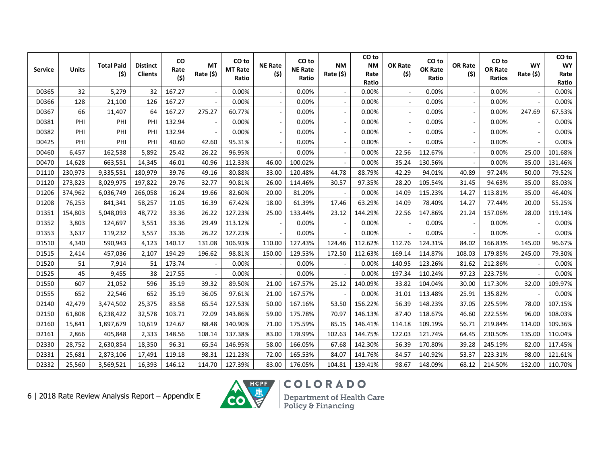| Service | <b>Units</b> | <b>Total Paid</b><br>(5) | <b>Distinct</b><br><b>Clients</b> | CO<br>Rate<br>(5) | <b>MT</b><br>Rate (\$) | CO to<br><b>MT Rate</b><br>Ratio | <b>NE Rate</b><br>(5)    | CO <sub>to</sub><br><b>NE Rate</b><br>Ratio | <b>NM</b><br>Rate (\$) | CO to<br><b>NM</b><br>Rate<br>Ratio | <b>OK Rate</b><br>(5) | CO to<br>OK Rate<br>Ratio | OR Rate<br>(5) | CO <sub>to</sub><br>OR Rate<br><b>Ratios</b> | <b>WY</b><br>Rate (\$) | CO to<br><b>WY</b><br>Rate<br>Ratio |
|---------|--------------|--------------------------|-----------------------------------|-------------------|------------------------|----------------------------------|--------------------------|---------------------------------------------|------------------------|-------------------------------------|-----------------------|---------------------------|----------------|----------------------------------------------|------------------------|-------------------------------------|
| D0365   | 32           | 5,279                    | 32                                | 167.27            |                        | 0.00%                            | $\overline{\phantom{a}}$ | 0.00%                                       |                        | 0.00%                               |                       | 0.00%                     |                | 0.00%                                        |                        | 0.00%                               |
| D0366   | 128          | 21,100                   | 126                               | 167.27            |                        | 0.00%                            |                          | 0.00%                                       |                        | 0.00%                               |                       | 0.00%                     |                | 0.00%                                        |                        | 0.00%                               |
| D0367   | 66           | 11,407                   | 64                                | 167.27            | 275.27                 | 60.77%                           |                          | 0.00%                                       |                        | 0.00%                               |                       | 0.00%                     |                | 0.00%                                        | 247.69                 | 67.53%                              |
| D0381   | PHI          | PHI                      | PHI                               | 132.94            |                        | 0.00%                            | $\overline{\phantom{a}}$ | 0.00%                                       |                        | 0.00%                               |                       | 0.00%                     |                | 0.00%                                        |                        | 0.00%                               |
| D0382   | PHI          | PHI                      | PHI                               | 132.94            |                        | 0.00%                            | $\overline{\phantom{a}}$ | 0.00%                                       |                        | 0.00%                               |                       | 0.00%                     |                | 0.00%                                        |                        | 0.00%                               |
| D0425   | PHI          | PHI                      | PHI                               | 40.60             | 42.60                  | 95.31%                           | $\overline{\phantom{a}}$ | 0.00%                                       |                        | 0.00%                               |                       | 0.00%                     |                | 0.00%                                        |                        | 0.00%                               |
| D0460   | 6,457        | 162,538                  | 5,892                             | 25.42             | 26.22                  | 96.95%                           |                          | 0.00%                                       |                        | 0.00%                               | 22.56                 | 112.67%                   |                | 0.00%                                        | 25.00                  | 101.68%                             |
| D0470   | 14,628       | 663,551                  | 14,345                            | 46.01             | 40.96                  | 112.33%                          | 46.00                    | 100.02%                                     |                        | 0.00%                               | 35.24                 | 130.56%                   |                | 0.00%                                        | 35.00                  | 131.46%                             |
| D1110   | 230,973      | 9,335,551                | 180,979                           | 39.76             | 49.16                  | 80.88%                           | 33.00                    | 120.48%                                     | 44.78                  | 88.79%                              | 42.29                 | 94.01%                    | 40.89          | 97.24%                                       | 50.00                  | 79.52%                              |
| D1120   | 273,823      | 8,029,975                | 197,822                           | 29.76             | 32.77                  | 90.81%                           | 26.00                    | 114.46%                                     | 30.57                  | 97.35%                              | 28.20                 | 105.54%                   | 31.45          | 94.63%                                       | 35.00                  | 85.03%                              |
| D1206   | 374,962      | 6,036,749                | 266,058                           | 16.24             | 19.66                  | 82.60%                           | 20.00                    | 81.20%                                      |                        | 0.00%                               | 14.09                 | 115.23%                   | 14.27          | 113.81%                                      | 35.00                  | 46.40%                              |
| D1208   | 76,253       | 841,341                  | 58,257                            | 11.05             | 16.39                  | 67.42%                           | 18.00                    | 61.39%                                      | 17.46                  | 63.29%                              | 14.09                 | 78.40%                    | 14.27          | 77.44%                                       | 20.00                  | 55.25%                              |
| D1351   | 154,803      | 5,048,093                | 48,772                            | 33.36             | 26.22                  | 127.23%                          | 25.00                    | 133.44%                                     | 23.12                  | 144.29%                             | 22.56                 | 147.86%                   | 21.24          | 157.06%                                      | 28.00                  | 119.14%                             |
| D1352   | 3,803        | 124,697                  | 3,551                             | 33.36             | 29.49                  | 113.12%                          | $\overline{\phantom{a}}$ | 0.00%                                       |                        | 0.00%                               |                       | 0.00%                     |                | 0.00%                                        |                        | 0.00%                               |
| D1353   | 3,637        | 119,232                  | 3,557                             | 33.36             | 26.22                  | 127.23%                          | $\sim$                   | 0.00%                                       |                        | 0.00%                               |                       | 0.00%                     |                | 0.00%                                        |                        | 0.00%                               |
| D1510   | 4,340        | 590,943                  | 4,123                             | 140.17            | 131.08                 | 106.93%                          | 110.00                   | 127.43%                                     | 124.46                 | 112.62%                             | 112.76                | 124.31%                   | 84.02          | 166.83%                                      | 145.00                 | 96.67%                              |
| D1515   | 2,414        | 457,036                  | 2,107                             | 194.29            | 196.62                 | 98.81%                           | 150.00                   | 129.53%                                     | 172.50                 | 112.63%                             | 169.14                | 114.87%                   | 108.03         | 179.85%                                      | 245.00                 | 79.30%                              |
| D1520   | 51           | 7,914                    | 51                                | 173.74            |                        | 0.00%                            |                          | 0.00%                                       |                        | 0.00%                               | 140.95                | 123.26%                   | 81.62          | 212.86%                                      |                        | 0.00%                               |
| D1525   | 45           | 9,455                    | 38                                | 217.55            |                        | 0.00%                            |                          | 0.00%                                       |                        | 0.00%                               | 197.34                | 110.24%                   | 97.23          | 223.75%                                      |                        | 0.00%                               |
| D1550   | 607          | 21,052                   | 596                               | 35.19             | 39.32                  | 89.50%                           | 21.00                    | 167.57%                                     | 25.12                  | 140.09%                             | 33.82                 | 104.04%                   | 30.00          | 117.30%                                      | 32.00                  | 109.97%                             |
| D1555   | 652          | 22,546                   | 652                               | 35.19             | 36.05                  | 97.61%                           | 21.00                    | 167.57%                                     |                        | 0.00%                               | 31.01                 | 113.48%                   | 25.91          | 135.82%                                      |                        | 0.00%                               |
| D2140   | 42,479       | 3,474,502                | 25,375                            | 83.58             | 65.54                  | 127.53%                          | 50.00                    | 167.16%                                     | 53.50                  | 156.22%                             | 56.39                 | 148.23%                   | 37.05          | 225.59%                                      | 78.00                  | 107.15%                             |
| D2150   | 61,808       | 6,238,422                | 32,578                            | 103.71            | 72.09                  | 143.86%                          | 59.00                    | 175.78%                                     | 70.97                  | 146.13%                             | 87.40                 | 118.67%                   | 46.60          | 222.55%                                      | 96.00                  | 108.03%                             |
| D2160   | 15,841       | 1,897,679                | 10,619                            | 124.67            | 88.48                  | 140.90%                          | 71.00                    | 175.59%                                     | 85.15                  | 146.41%                             | 114.18                | 109.19%                   | 56.71          | 219.84%                                      | 114.00                 | 109.36%                             |
| D2161   | 2,866        | 405,848                  | 2,333                             | 148.56            | 108.14                 | 137.38%                          | 83.00                    | 178.99%                                     | 102.63                 | 144.75%                             | 122.03                | 121.74%                   | 64.45          | 230.50%                                      | 135.00                 | 110.04%                             |
| D2330   | 28,752       | 2,630,854                | 18,350                            | 96.31             | 65.54                  | 146.95%                          | 58.00                    | 166.05%                                     | 67.68                  | 142.30%                             | 56.39                 | 170.80%                   | 39.28          | 245.19%                                      | 82.00                  | 117.45%                             |
| D2331   | 25,681       | 2,873,106                | 17,491                            | 119.18            | 98.31                  | 121.23%                          | 72.00                    | 165.53%                                     | 84.07                  | 141.76%                             | 84.57                 | 140.92%                   | 53.37          | 223.31%                                      | 98.00                  | 121.61%                             |
| D2332   | 25,560       | 3,569,521                | 16,393                            | 146.12            | 114.70                 | 127.39%                          | 83.00                    | 176.05%                                     | 104.81                 | 139.41%                             | 98.67                 | 148.09%                   | 68.12          | 214.50%                                      | 132.00                 | 110.70%                             |

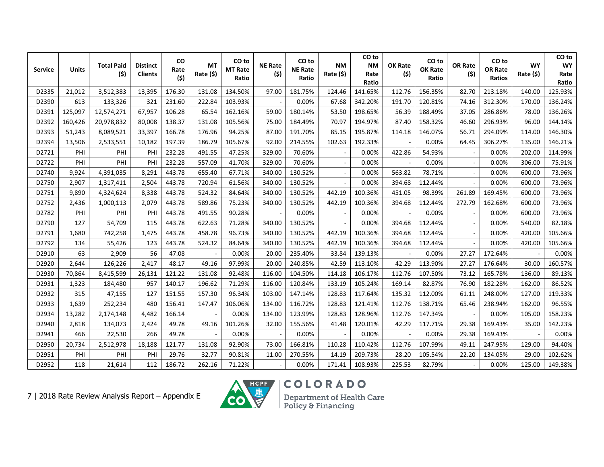| <b>Service</b> | <b>Units</b> | <b>Total Paid</b><br>(\$) | <b>Distinct</b><br><b>Clients</b> | <b>CO</b><br>Rate<br>(5) | МT<br>Rate (\$) | CO to<br><b>MT Rate</b><br>Ratio | <b>NE Rate</b><br>(5) | CO to<br><b>NE Rate</b><br>Ratio | <b>NM</b><br>Rate (\$) | CO <sub>to</sub><br><b>NM</b><br>Rate<br>Ratio | <b>OK Rate</b><br>(5) | CO <sub>to</sub><br>OK Rate<br>Ratio | <b>OR Rate</b><br>(5) | CO <sub>to</sub><br><b>OR Rate</b><br><b>Ratios</b> | <b>WY</b><br>Rate (\$) | CO <sub>to</sub><br><b>WY</b><br>Rate<br>Ratio |
|----------------|--------------|---------------------------|-----------------------------------|--------------------------|-----------------|----------------------------------|-----------------------|----------------------------------|------------------------|------------------------------------------------|-----------------------|--------------------------------------|-----------------------|-----------------------------------------------------|------------------------|------------------------------------------------|
| D2335          | 21,012       | 3,512,383                 | 13,395                            | 176.30                   | 131.08          | 134.50%                          | 97.00                 | 181.75%                          | 124.46                 | 141.65%                                        | 112.76                | 156.35%                              | 82.70                 | 213.18%                                             | 140.00                 | 125.93%                                        |
| D2390          | 613          | 133,326                   | 321                               | 231.60                   | 222.84          | 103.93%                          |                       | 0.00%                            | 67.68                  | 342.20%                                        | 191.70                | 120.81%                              | 74.16                 | 312.30%                                             | 170.00                 | 136.24%                                        |
| D2391          | 125,097      | 12,574,271                | 67,957                            | 106.28                   | 65.54           | 162.16%                          | 59.00                 | 180.14%                          | 53.50                  | 198.65%                                        | 56.39                 | 188.49%                              | 37.05                 | 286.86%                                             | 78.00                  | 136.26%                                        |
| D2392          | 160,426      | 20,978,832                | 80,008                            | 138.37                   | 131.08          | 105.56%                          | 75.00                 | 184.49%                          | 70.97                  | 194.97%                                        | 87.40                 | 158.32%                              | 46.60                 | 296.93%                                             | 96.00                  | 144.14%                                        |
| D2393          | 51,243       | 8,089,521                 | 33,397                            | 166.78                   | 176.96          | 94.25%                           | 87.00                 | 191.70%                          | 85.15                  | 195.87%                                        | 114.18                | 146.07%                              | 56.71                 | 294.09%                                             | 114.00                 | 146.30%                                        |
| D2394          | 13,506       | 2,533,551                 | 10,182                            | 197.39                   | 186.79          | 105.67%                          | 92.00                 | 214.55%                          | 102.63                 | 192.33%                                        |                       | 0.00%                                | 64.45                 | 306.27%                                             | 135.00                 | 146.21%                                        |
| D2721          | PHI          | PHI                       | PHI                               | 232.28                   | 491.55          | 47.25%                           | 329.00                | 70.60%                           |                        | 0.00%                                          | 422.86                | 54.93%                               |                       | 0.00%                                               | 202.00                 | 114.99%                                        |
| D2722          | PHI          | PHI                       | PHI                               | 232.28                   | 557.09          | 41.70%                           | 329.00                | 70.60%                           |                        | 0.00%                                          |                       | 0.00%                                |                       | 0.00%                                               | 306.00                 | 75.91%                                         |
| D2740          | 9,924        | 4,391,035                 | 8,291                             | 443.78                   | 655.40          | 67.71%                           | 340.00                | 130.52%                          |                        | 0.00%                                          | 563.82                | 78.71%                               |                       | 0.00%                                               | 600.00                 | 73.96%                                         |
| D2750          | 2,907        | 1,317,411                 | 2,504                             | 443.78                   | 720.94          | 61.56%                           | 340.00                | 130.52%                          |                        | 0.00%                                          | 394.68                | 112.44%                              |                       | 0.00%                                               | 600.00                 | 73.96%                                         |
| D2751          | 9,890        | 4,324,624                 | 8,338                             | 443.78                   | 524.32          | 84.64%                           | 340.00                | 130.52%                          | 442.19                 | 100.36%                                        | 451.05                | 98.39%                               | 261.89                | 169.45%                                             | 600.00                 | 73.96%                                         |
| D2752          | 2,436        | 1,000,113                 | 2,079                             | 443.78                   | 589.86          | 75.23%                           | 340.00                | 130.52%                          | 442.19                 | 100.36%                                        | 394.68                | 112.44%                              | 272.79                | 162.68%                                             | 600.00                 | 73.96%                                         |
| D2782          | PHI          | PHI                       | PHI                               | 443.78                   | 491.55          | 90.28%                           |                       | 0.00%                            |                        | 0.00%                                          |                       | 0.00%                                |                       | 0.00%                                               | 600.00                 | 73.96%                                         |
| D2790          | 127          | 54,709                    | 115                               | 443.78                   | 622.63          | 71.28%                           | 340.00                | 130.52%                          |                        | 0.00%                                          | 394.68                | 112.44%                              |                       | 0.00%                                               | 540.00                 | 82.18%                                         |
| D2791          | 1,680        | 742,258                   | 1,475                             | 443.78                   | 458.78          | 96.73%                           | 340.00                | 130.52%                          | 442.19                 | 100.36%                                        | 394.68                | 112.44%                              |                       | 0.00%                                               | 420.00                 | 105.66%                                        |
| D2792          | 134          | 55,426                    | 123                               | 443.78                   | 524.32          | 84.64%                           | 340.00                | 130.52%                          | 442.19                 | 100.36%                                        | 394.68                | 112.44%                              |                       | 0.00%                                               | 420.00                 | 105.66%                                        |
| D2910          | 63           | 2,909                     | 56                                | 47.08                    |                 | 0.00%                            | 20.00                 | 235.40%                          | 33.84                  | 139.13%                                        |                       | 0.00%                                | 27.27                 | 172.64%                                             |                        | 0.00%                                          |
| D2920          | 2,644        | 126,226                   | 2,417                             | 48.17                    | 49.16           | 97.99%                           | 20.00                 | 240.85%                          | 42.59                  | 113.10%                                        | 42.29                 | 113.90%                              | 27.27                 | 176.64%                                             | 30.00                  | 160.57%                                        |
| D2930          | 70,864       | 8,415,599                 | 26,131                            | 121.22                   | 131.08          | 92.48%                           | 116.00                | 104.50%                          | 114.18                 | 106.17%                                        | 112.76                | 107.50%                              | 73.12                 | 165.78%                                             | 136.00                 | 89.13%                                         |
| D2931          | 1,323        | 184,480                   | 957                               | 140.17                   | 196.62          | 71.29%                           | 116.00                | 120.84%                          | 133.19                 | 105.24%                                        | 169.14                | 82.87%                               | 76.90                 | 182.28%                                             | 162.00                 | 86.52%                                         |
| D2932          | 315          | 47,155                    | 127                               | 151.55                   | 157.30          | 96.34%                           | 103.00                | 147.14%                          | 128.83                 | 117.64%                                        | 135.32                | 112.00%                              | 61.11                 | 248.00%                                             | 127.00                 | 119.33%                                        |
| D2933          | 1.639        | 252,234                   | 480                               | 156.41                   | 147.47          | 106.06%                          | 134.00                | 116.72%                          | 128.83                 | 121.41%                                        | 112.76                | 138.71%                              | 65.46                 | 238.94%                                             | 162.00                 | 96.55%                                         |
| D2934          | 13,282       | 2,174,148                 | 4,482                             | 166.14                   |                 | 0.00%                            | 134.00                | 123.99%                          | 128.83                 | 128.96%                                        | 112.76                | 147.34%                              |                       | 0.00%                                               | 105.00                 | 158.23%                                        |
| D2940          | 2,818        | 134,073                   | 2,424                             | 49.78                    | 49.16           | 101.26%                          | 32.00                 | 155.56%                          | 41.48                  | 120.01%                                        | 42.29                 | 117.71%                              | 29.38                 | 169.43%                                             | 35.00                  | 142.23%                                        |
| D2941          | 466          | 22,530                    | 266                               | 49.78                    |                 | 0.00%                            |                       | 0.00%                            |                        | 0.00%                                          |                       | 0.00%                                | 29.38                 | 169.43%                                             |                        | 0.00%                                          |
| D2950          | 20,734       | 2,512,978                 | 18,188                            | 121.77                   | 131.08          | 92.90%                           | 73.00                 | 166.81%                          | 110.28                 | 110.42%                                        | 112.76                | 107.99%                              | 49.11                 | 247.95%                                             | 129.00                 | 94.40%                                         |
| D2951          | PHI          | PHI                       | PHI                               | 29.76                    | 32.77           | 90.81%                           | 11.00                 | 270.55%                          | 14.19                  | 209.73%                                        | 28.20                 | 105.54%                              | 22.20                 | 134.05%                                             | 29.00                  | 102.62%                                        |
| D2952          | 118          | 21,614                    | 112                               | 186.72                   | 262.16          | 71.22%                           | $\blacksquare$        | 0.00%                            | 171.41                 | 108.93%                                        | 225.53                | 82.79%                               |                       | 0.00%                                               | 125.00                 | 149.38%                                        |

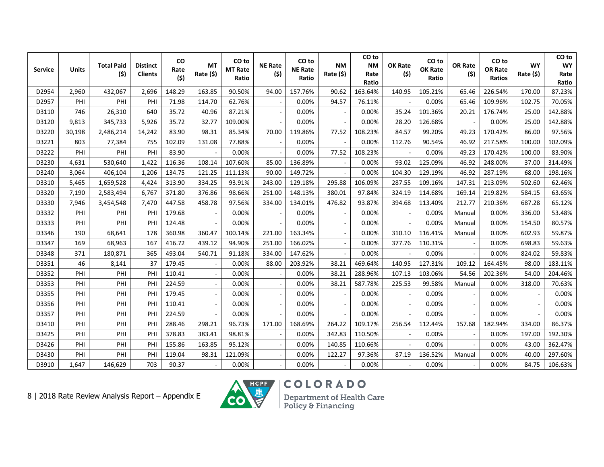| <b>Service</b> | <b>Units</b> | <b>Total Paid</b><br>(5) | <b>Distinct</b><br><b>Clients</b> | CO<br>Rate<br>(5) | <b>MT</b><br>Rate (\$) | CO to<br><b>MT Rate</b><br>Ratio | <b>NE Rate</b><br>(5)    | CO to<br><b>NE Rate</b><br>Ratio | <b>NM</b><br>Rate (\$) | CO to<br><b>NM</b><br>Rate<br>Ratio | <b>OK Rate</b><br>(\$) | CO to<br>OK Rate<br>Ratio | OR Rate<br>(5) | CO <sub>to</sub><br><b>OR Rate</b><br><b>Ratios</b> | <b>WY</b><br>Rate (\$) | CO to<br><b>WY</b><br>Rate<br>Ratio |
|----------------|--------------|--------------------------|-----------------------------------|-------------------|------------------------|----------------------------------|--------------------------|----------------------------------|------------------------|-------------------------------------|------------------------|---------------------------|----------------|-----------------------------------------------------|------------------------|-------------------------------------|
| D2954          | 2,960        | 432,067                  | 2,696                             | 148.29            | 163.85                 | 90.50%                           | 94.00                    | 157.76%                          | 90.62                  | 163.64%                             | 140.95                 | 105.21%                   | 65.46          | 226.54%                                             | 170.00                 | 87.23%                              |
| D2957          | PHI          | PHI                      | PHI                               | 71.98             | 114.70                 | 62.76%                           |                          | 0.00%                            | 94.57                  | 76.11%                              |                        | 0.00%                     | 65.46          | 109.96%                                             | 102.75                 | 70.05%                              |
| D3110          | 746          | 26,310                   | 640                               | 35.72             | 40.96                  | 87.21%                           |                          | 0.00%                            |                        | 0.00%                               | 35.24                  | 101.36%                   | 20.21          | 176.74%                                             | 25.00                  | 142.88%                             |
| D3120          | 9,813        | 345,733                  | 5,926                             | 35.72             | 32.77                  | 109.00%                          | ÷.                       | 0.00%                            |                        | 0.00%                               | 28.20                  | 126.68%                   |                | 0.00%                                               | 25.00                  | 142.88%                             |
| D3220          | 30,198       | 2,486,214                | 14,242                            | 83.90             | 98.31                  | 85.34%                           | 70.00                    | 119.86%                          | 77.52                  | 108.23%                             | 84.57                  | 99.20%                    | 49.23          | 170.42%                                             | 86.00                  | 97.56%                              |
| D3221          | 803          | 77,384                   | 755                               | 102.09            | 131.08                 | 77.88%                           | $\overline{\phantom{a}}$ | 0.00%                            |                        | 0.00%                               | 112.76                 | 90.54%                    | 46.92          | 217.58%                                             | 100.00                 | 102.09%                             |
| D3222          | PHI          | PHI                      | PHI                               | 83.90             |                        | 0.00%                            |                          | 0.00%                            | 77.52                  | 108.23%                             |                        | 0.00%                     | 49.23          | 170.42%                                             | 100.00                 | 83.90%                              |
| D3230          | 4,631        | 530,640                  | 1,422                             | 116.36            | 108.14                 | 107.60%                          | 85.00                    | 136.89%                          |                        | 0.00%                               | 93.02                  | 125.09%                   | 46.92          | 248.00%                                             | 37.00                  | 314.49%                             |
| D3240          | 3,064        | 406,104                  | 1,206                             | 134.75            | 121.25                 | 111.13%                          | 90.00                    | 149.72%                          |                        | 0.00%                               | 104.30                 | 129.19%                   | 46.92          | 287.19%                                             | 68.00                  | 198.16%                             |
| D3310          | 5,465        | 1,659,528                | 4,424                             | 313.90            | 334.25                 | 93.91%                           | 243.00                   | 129.18%                          | 295.88                 | 106.09%                             | 287.55                 | 109.16%                   | 147.31         | 213.09%                                             | 502.60                 | 62.46%                              |
| D3320          | 7,190        | 2,583,494                | 6,767                             | 371.80            | 376.86                 | 98.66%                           | 251.00                   | 148.13%                          | 380.01                 | 97.84%                              | 324.19                 | 114.68%                   | 169.14         | 219.82%                                             | 584.15                 | 63.65%                              |
| D3330          | 7,946        | 3,454,548                | 7,470                             | 447.58            | 458.78                 | 97.56%                           | 334.00                   | 134.01%                          | 476.82                 | 93.87%                              | 394.68                 | 113.40%                   | 212.77         | 210.36%                                             | 687.28                 | 65.12%                              |
| D3332          | PHI          | PHI                      | PHI                               | 179.68            |                        | 0.00%                            |                          | 0.00%                            |                        | 0.00%                               |                        | 0.00%                     | Manual         | 0.00%                                               | 336.00                 | 53.48%                              |
| D3333          | PHI          | PHI                      | PHI                               | 124.48            |                        | 0.00%                            | $\overline{\phantom{a}}$ | 0.00%                            |                        | 0.00%                               |                        | 0.00%                     | Manual         | 0.00%                                               | 154.50                 | 80.57%                              |
| D3346          | 190          | 68,641                   | 178                               | 360.98            | 360.47                 | 100.14%                          | 221.00                   | 163.34%                          |                        | 0.00%                               | 310.10                 | 116.41%                   | Manual         | 0.00%                                               | 602.93                 | 59.87%                              |
| D3347          | 169          | 68,963                   | 167                               | 416.72            | 439.12                 | 94.90%                           | 251.00                   | 166.02%                          |                        | 0.00%                               | 377.76                 | 110.31%                   |                | 0.00%                                               | 698.83                 | 59.63%                              |
| D3348          | 371          | 180,871                  | 365                               | 493.04            | 540.71                 | 91.18%                           | 334.00                   | 147.62%                          |                        | 0.00%                               |                        | 0.00%                     |                | 0.00%                                               | 824.02                 | 59.83%                              |
| D3351          | 46           | 8,141                    | 37                                | 179.45            |                        | 0.00%                            | 88.00                    | 203.92%                          | 38.21                  | 469.64%                             | 140.95                 | 127.31%                   | 109.12         | 164.45%                                             | 98.00                  | 183.11%                             |
| D3352          | PHI          | PHI                      | PHI                               | 110.41            |                        | 0.00%                            | $\overline{\phantom{a}}$ | 0.00%                            | 38.21                  | 288.96%                             | 107.13                 | 103.06%                   | 54.56          | 202.36%                                             | 54.00                  | 204.46%                             |
| D3353          | PHI          | PHI                      | PHI                               | 224.59            |                        | 0.00%                            | $\overline{\phantom{a}}$ | 0.00%                            | 38.21                  | 587.78%                             | 225.53                 | 99.58%                    | Manual         | 0.00%                                               | 318.00                 | 70.63%                              |
| D3355          | PHI          | PHI                      | PHI                               | 179.45            |                        | 0.00%                            |                          | 0.00%                            |                        | 0.00%                               |                        | 0.00%                     |                | 0.00%                                               |                        | 0.00%                               |
| D3356          | PHI          | PHI                      | PHI                               | 110.41            |                        | 0.00%                            | $\sim$                   | 0.00%                            |                        | 0.00%                               |                        | 0.00%                     |                | 0.00%                                               |                        | 0.00%                               |
| D3357          | PHI          | PHI                      | PHI                               | 224.59            |                        | 0.00%                            |                          | 0.00%                            |                        | 0.00%                               |                        | 0.00%                     |                | 0.00%                                               |                        | 0.00%                               |
| D3410          | PHI          | PHI                      | PHI                               | 288.46            | 298.21                 | 96.73%                           | 171.00                   | 168.69%                          | 264.22                 | 109.17%                             | 256.54                 | 112.44%                   | 157.68         | 182.94%                                             | 334.00                 | 86.37%                              |
| D3425          | PHI          | PHI                      | PHI                               | 378.83            | 383.41                 | 98.81%                           |                          | 0.00%                            | 342.83                 | 110.50%                             |                        | 0.00%                     |                | 0.00%                                               | 197.00                 | 192.30%                             |
| D3426          | PHI          | PHI                      | PHI                               | 155.86            | 163.85                 | 95.12%                           |                          | 0.00%                            | 140.85                 | 110.66%                             |                        | 0.00%                     |                | 0.00%                                               | 43.00                  | 362.47%                             |
| D3430          | PHI          | PHI                      | PHI                               | 119.04            | 98.31                  | 121.09%                          | $\sim$                   | 0.00%                            | 122.27                 | 97.36%                              | 87.19                  | 136.52%                   | Manual         | 0.00%                                               | 40.00                  | 297.60%                             |
| D3910          | 1,647        | 146,629                  | 703                               | 90.37             |                        | 0.00%                            | $\blacksquare$           | 0.00%                            |                        | 0.00%                               |                        | 0.00%                     |                | 0.00%                                               | 84.75                  | 106.63%                             |

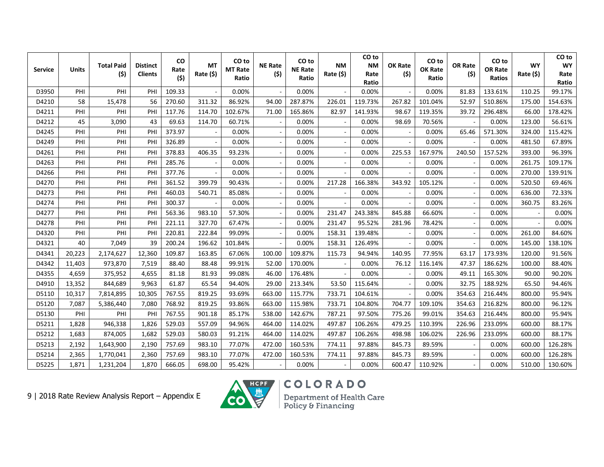| Service | <b>Units</b> | <b>Total Paid</b><br>(\$) | <b>Distinct</b><br><b>Clients</b> | <b>CO</b><br>Rate<br>(5) | <b>MT</b><br>Rate (\$) | CO to<br><b>MT Rate</b><br>Ratio | <b>NE Rate</b><br>(5)    | CO to<br><b>NE Rate</b><br>Ratio | <b>NM</b><br>Rate (\$) | CO <sub>to</sub><br><b>NM</b><br>Rate<br>Ratio | <b>OK Rate</b><br>(5) | CO to<br>OK Rate<br>Ratio | <b>OR Rate</b><br>(5) | CO <sub>to</sub><br>OR Rate<br><b>Ratios</b> | <b>WY</b><br>Rate (\$) | CO <sub>to</sub><br><b>WY</b><br>Rate<br>Ratio |
|---------|--------------|---------------------------|-----------------------------------|--------------------------|------------------------|----------------------------------|--------------------------|----------------------------------|------------------------|------------------------------------------------|-----------------------|---------------------------|-----------------------|----------------------------------------------|------------------------|------------------------------------------------|
| D3950   | PHI          | PHI                       | PHI                               | 109.33                   |                        | 0.00%                            | $\overline{\phantom{a}}$ | 0.00%                            |                        | 0.00%                                          |                       | 0.00%                     | 81.83                 | 133.61%                                      | 110.25                 | 99.17%                                         |
| D4210   | 58           | 15,478                    | 56                                | 270.60                   | 311.32                 | 86.92%                           | 94.00                    | 287.87%                          | 226.01                 | 119.73%                                        | 267.82                | 101.04%                   | 52.97                 | 510.86%                                      | 175.00                 | 154.63%                                        |
| D4211   | PHI          | PHI                       | PHI                               | 117.76                   | 114.70                 | 102.67%                          | 71.00                    | 165.86%                          | 82.97                  | 141.93%                                        | 98.67                 | 119.35%                   | 39.72                 | 296.48%                                      | 66.00                  | 178.42%                                        |
| D4212   | 45           | 3,090                     | 43                                | 69.63                    | 114.70                 | 60.71%                           |                          | 0.00%                            |                        | 0.00%                                          | 98.69                 | 70.56%                    |                       | 0.00%                                        | 123.00                 | 56.61%                                         |
| D4245   | PHI          | PHI                       | PHI                               | 373.97                   |                        | 0.00%                            |                          | 0.00%                            |                        | 0.00%                                          |                       | 0.00%                     | 65.46                 | 571.30%                                      | 324.00                 | 115.42%                                        |
| D4249   | PHI          | PHI                       | PHI                               | 326.89                   |                        | 0.00%                            |                          | 0.00%                            |                        | 0.00%                                          |                       | 0.00%                     |                       | 0.00%                                        | 481.50                 | 67.89%                                         |
| D4261   | PHI          | PHI                       | PHI                               | 378.83                   | 406.35                 | 93.23%                           |                          | 0.00%                            |                        | 0.00%                                          | 225.53                | 167.97%                   | 240.50                | 157.52%                                      | 393.00                 | 96.39%                                         |
| D4263   | PHI          | PHI                       | PHI                               | 285.76                   |                        | 0.00%                            |                          | 0.00%                            |                        | 0.00%                                          |                       | 0.00%                     |                       | 0.00%                                        | 261.75                 | 109.17%                                        |
| D4266   | PHI          | PHI                       | PHI                               | 377.76                   |                        | 0.00%                            |                          | 0.00%                            |                        | 0.00%                                          |                       | 0.00%                     |                       | 0.00%                                        | 270.00                 | 139.91%                                        |
| D4270   | PHI          | PHI                       | PHI                               | 361.52                   | 399.79                 | 90.43%                           | $\overline{\phantom{a}}$ | 0.00%                            | 217.28                 | 166.38%                                        | 343.92                | 105.12%                   |                       | 0.00%                                        | 520.50                 | 69.46%                                         |
| D4273   | PHI          | PHI                       | PHI                               | 460.03                   | 540.71                 | 85.08%                           |                          | 0.00%                            |                        | 0.00%                                          |                       | 0.00%                     |                       | 0.00%                                        | 636.00                 | 72.33%                                         |
| D4274   | PHI          | PHI                       | PHI                               | 300.37                   |                        | 0.00%                            |                          | 0.00%                            |                        | 0.00%                                          |                       | 0.00%                     |                       | 0.00%                                        | 360.75                 | 83.26%                                         |
| D4277   | PHI          | PHI                       | PHI                               | 563.36                   | 983.10                 | 57.30%                           |                          | 0.00%                            | 231.47                 | 243.38%                                        | 845.88                | 66.60%                    |                       | 0.00%                                        |                        | 0.00%                                          |
| D4278   | PHI          | PHI                       | PHI                               | 221.11                   | 327.70                 | 67.47%                           |                          | 0.00%                            | 231.47                 | 95.52%                                         | 281.96                | 78.42%                    |                       | 0.00%                                        |                        | 0.00%                                          |
| D4320   | PHI          | PHI                       | PHI                               | 220.81                   | 222.84                 | 99.09%                           | $\overline{\phantom{a}}$ | 0.00%                            | 158.31                 | 139.48%                                        |                       | 0.00%                     |                       | 0.00%                                        | 261.00                 | 84.60%                                         |
| D4321   | 40           | 7,049                     | 39                                | 200.24                   | 196.62                 | 101.84%                          |                          | 0.00%                            | 158.31                 | 126.49%                                        |                       | 0.00%                     |                       | 0.00%                                        | 145.00                 | 138.10%                                        |
| D4341   | 20,223       | 2,174,627                 | 12,360                            | 109.87                   | 163.85                 | 67.06%                           | 100.00                   | 109.87%                          | 115.73                 | 94.94%                                         | 140.95                | 77.95%                    | 63.17                 | 173.93%                                      | 120.00                 | 91.56%                                         |
| D4342   | 11,403       | 973,870                   | 7,519                             | 88.40                    | 88.48                  | 99.91%                           | 52.00                    | 170.00%                          |                        | 0.00%                                          | 76.12                 | 116.14%                   | 47.37                 | 186.62%                                      | 100.00                 | 88.40%                                         |
| D4355   | 4,659        | 375,952                   | 4,655                             | 81.18                    | 81.93                  | 99.08%                           | 46.00                    | 176.48%                          |                        | 0.00%                                          |                       | 0.00%                     | 49.11                 | 165.30%                                      | 90.00                  | 90.20%                                         |
| D4910   | 13,352       | 844,689                   | 9,963                             | 61.87                    | 65.54                  | 94.40%                           | 29.00                    | 213.34%                          | 53.50                  | 115.64%                                        |                       | 0.00%                     | 32.75                 | 188.92%                                      | 65.50                  | 94.46%                                         |
| D5110   | 10,317       | 7,814,895                 | 10,305                            | 767.55                   | 819.25                 | 93.69%                           | 663.00                   | 115.77%                          | 733.71                 | 104.61%                                        |                       | 0.00%                     | 354.63                | 216.44%                                      | 800.00                 | 95.94%                                         |
| D5120   | 7,087        | 5,386,440                 | 7,080                             | 768.92                   | 819.25                 | 93.86%                           | 663.00                   | 115.98%                          | 733.71                 | 104.80%                                        | 704.77                | 109.10%                   | 354.63                | 216.82%                                      | 800.00                 | 96.12%                                         |
| D5130   | PHI          | PHI                       | PHI                               | 767.55                   | 901.18                 | 85.17%                           | 538.00                   | 142.67%                          | 787.21                 | 97.50%                                         | 775.26                | 99.01%                    | 354.63                | 216.44%                                      | 800.00                 | 95.94%                                         |
| D5211   | 1,828        | 946,338                   | 1,826                             | 529.03                   | 557.09                 | 94.96%                           | 464.00                   | 114.02%                          | 497.87                 | 106.26%                                        | 479.25                | 110.39%                   | 226.96                | 233.09%                                      | 600.00                 | 88.17%                                         |
| D5212   | 1,683        | 874,005                   | 1,682                             | 529.03                   | 580.03                 | 91.21%                           | 464.00                   | 114.02%                          | 497.87                 | 106.26%                                        | 498.98                | 106.02%                   | 226.96                | 233.09%                                      | 600.00                 | 88.17%                                         |
| D5213   | 2,192        | 1,643,900                 | 2,190                             | 757.69                   | 983.10                 | 77.07%                           | 472.00                   | 160.53%                          | 774.11                 | 97.88%                                         | 845.73                | 89.59%                    |                       | 0.00%                                        | 600.00                 | 126.28%                                        |
| D5214   | 2,365        | 1,770,041                 | 2,360                             | 757.69                   | 983.10                 | 77.07%                           | 472.00                   | 160.53%                          | 774.11                 | 97.88%                                         | 845.73                | 89.59%                    |                       | 0.00%                                        | 600.00                 | 126.28%                                        |
| D5225   | 1,871        | 1,231,204                 | 1,870                             | 666.05                   | 698.00                 | 95.42%                           |                          | 0.00%                            |                        | 0.00%                                          | 600.47                | 110.92%                   |                       | 0.00%                                        | 510.00                 | 130.60%                                        |

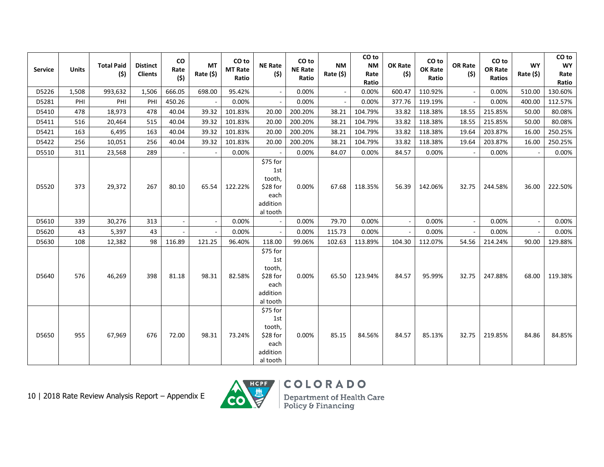| <b>Service</b> | <b>Units</b> | <b>Total Paid</b><br>(\$) | <b>Distinct</b><br><b>Clients</b> | <b>CO</b><br>Rate<br>(\$) | МT<br>Rate (\$) | CO to<br><b>MT Rate</b><br>Ratio | <b>NE Rate</b><br>(5)                                                 | CO <sub>to</sub><br><b>NE Rate</b><br>Ratio | <b>NM</b><br>Rate (\$) | CO <sub>to</sub><br><b>NM</b><br>Rate<br>Ratio | <b>OK Rate</b><br>(5) | CO to<br>OK Rate<br>Ratio | OR Rate<br>(5) | CO to<br><b>OR Rate</b><br>Ratios | <b>WY</b><br>Rate (\$)   | CO to<br><b>WY</b><br>Rate<br>Ratio |
|----------------|--------------|---------------------------|-----------------------------------|---------------------------|-----------------|----------------------------------|-----------------------------------------------------------------------|---------------------------------------------|------------------------|------------------------------------------------|-----------------------|---------------------------|----------------|-----------------------------------|--------------------------|-------------------------------------|
| D5226          | 1,508        | 993,632                   | 1,506                             | 666.05                    | 698.00          | 95.42%                           | $\blacksquare$                                                        | 0.00%                                       | $\sim$                 | 0.00%                                          | 600.47                | 110.92%                   |                | 0.00%                             | 510.00                   | 130.60%                             |
| D5281          | PHI          | PHI                       | PHI                               | 450.26                    |                 | 0.00%                            | $\blacksquare$                                                        | 0.00%                                       |                        | 0.00%                                          | 377.76                | 119.19%                   |                | 0.00%                             | 400.00                   | 112.57%                             |
| D5410          | 478          | 18,973                    | 478                               | 40.04                     | 39.32           | 101.83%                          | 20.00                                                                 | 200.20%                                     | 38.21                  | 104.79%                                        | 33.82                 | 118.38%                   | 18.55          | 215.85%                           | 50.00                    | 80.08%                              |
| D5411          | 516          | 20,464                    | 515                               | 40.04                     | 39.32           | 101.83%                          | 20.00                                                                 | 200.20%                                     | 38.21                  | 104.79%                                        | 33.82                 | 118.38%                   | 18.55          | 215.85%                           | 50.00                    | 80.08%                              |
| D5421          | 163          | 6,495                     | 163                               | 40.04                     | 39.32           | 101.83%                          | 20.00                                                                 | 200.20%                                     | 38.21                  | 104.79%                                        | 33.82                 | 118.38%                   | 19.64          | 203.87%                           | 16.00                    | 250.25%                             |
| D5422          | 256          | 10,051                    | 256                               | 40.04                     | 39.32           | 101.83%                          | 20.00                                                                 | 200.20%                                     | 38.21                  | 104.79%                                        | 33.82                 | 118.38%                   | 19.64          | 203.87%                           | 16.00                    | 250.25%                             |
| D5510          | 311          | 23,568                    | 289                               | $\mathbf{r}$              |                 | 0.00%                            |                                                                       | 0.00%                                       | 84.07                  | 0.00%                                          | 84.57                 | 0.00%                     |                | 0.00%                             |                          | 0.00%                               |
| D5520          | 373          | 29,372                    | 267                               | 80.10                     | 65.54           | 122.22%                          | \$75 for<br>1st<br>tooth,<br>\$28 for<br>each<br>addition<br>al tooth | 0.00%                                       | 67.68                  | 118.35%                                        | 56.39                 | 142.06%                   | 32.75          | 244.58%                           | 36.00                    | 222.50%                             |
| D5610          | 339          | 30,276                    | 313                               | $\sim$                    |                 | 0.00%                            | $\overline{\phantom{a}}$                                              | 0.00%                                       | 79.70                  | 0.00%                                          | $\sim$                | 0.00%                     | $\sim$         | 0.00%                             | $\overline{\phantom{a}}$ | 0.00%                               |
| D5620          | 43           | 5,397                     | 43                                |                           |                 | 0.00%                            |                                                                       | 0.00%                                       | 115.73                 | 0.00%                                          |                       | 0.00%                     |                | 0.00%                             |                          | 0.00%                               |
| D5630          | 108          | 12,382                    | 98                                | 116.89                    | 121.25          | 96.40%                           | 118.00                                                                | 99.06%                                      | 102.63                 | 113.89%                                        | 104.30                | 112.07%                   | 54.56          | 214.24%                           | 90.00                    | 129.88%                             |
| D5640          | 576          | 46,269                    | 398                               | 81.18                     | 98.31           | 82.58%                           | \$75 for<br>1st<br>tooth,<br>\$28 for<br>each<br>addition<br>al tooth | 0.00%                                       | 65.50                  | 123.94%                                        | 84.57                 | 95.99%                    | 32.75          | 247.88%                           | 68.00                    | 119.38%                             |
| D5650          | 955          | 67,969                    | 676                               | 72.00                     | 98.31           | 73.24%                           | \$75 for<br>1st<br>tooth,<br>\$28 for<br>each<br>addition<br>al tooth | 0.00%                                       | 85.15                  | 84.56%                                         | 84.57                 | 85.13%                    | 32.75          | 219.85%                           | 84.86                    | 84.85%                              |

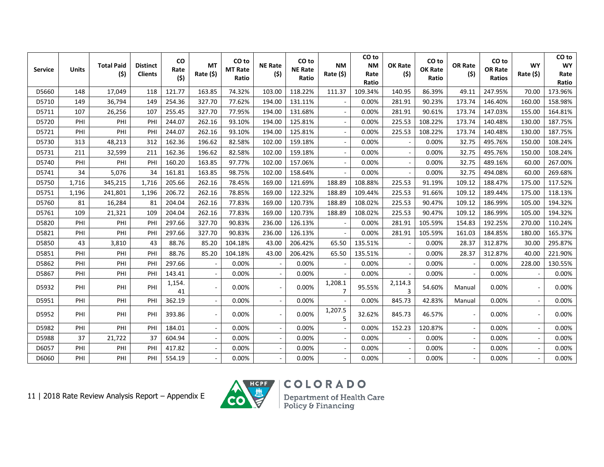| <b>Service</b> | <b>Units</b> | <b>Total Paid</b><br>(5) | <b>Distinct</b><br><b>Clients</b> | <b>CO</b><br>Rate<br>(\$) | <b>MT</b><br>Rate (\$) | CO to<br><b>MT Rate</b><br>Ratio | <b>NE Rate</b><br>(5)    | CO <sub>to</sub><br><b>NE Rate</b><br>Ratio | <b>NM</b><br>Rate $($ \$) | CO <sub>to</sub><br><b>NM</b><br>Rate<br>Ratio | <b>OK Rate</b><br>(5) | CO <sub>to</sub><br>OK Rate<br>Ratio | <b>OR Rate</b><br>(5) | CO <sub>to</sub><br><b>OR Rate</b><br><b>Ratios</b> | <b>WY</b><br>Rate $(5)$ | CO to<br><b>WY</b><br>Rate<br>Ratio |
|----------------|--------------|--------------------------|-----------------------------------|---------------------------|------------------------|----------------------------------|--------------------------|---------------------------------------------|---------------------------|------------------------------------------------|-----------------------|--------------------------------------|-----------------------|-----------------------------------------------------|-------------------------|-------------------------------------|
| D5660          | 148          | 17,049                   | 118                               | 121.77                    | 163.85                 | 74.32%                           | 103.00                   | 118.22%                                     | 111.37                    | 109.34%                                        | 140.95                | 86.39%                               | 49.11                 | 247.95%                                             | 70.00                   | 173.96%                             |
| D5710          | 149          | 36,794                   | 149                               | 254.36                    | 327.70                 | 77.62%                           | 194.00                   | 131.11%                                     |                           | 0.00%                                          | 281.91                | 90.23%                               | 173.74                | 146.40%                                             | 160.00                  | 158.98%                             |
| D5711          | 107          | 26,256                   | 107                               | 255.45                    | 327.70                 | 77.95%                           | 194.00                   | 131.68%                                     |                           | 0.00%                                          | 281.91                | 90.61%                               | 173.74                | 147.03%                                             | 155.00                  | 164.81%                             |
| D5720          | PHI          | PHI                      | PHI                               | 244.07                    | 262.16                 | 93.10%                           | 194.00                   | 125.81%                                     |                           | 0.00%                                          | 225.53                | 108.22%                              | 173.74                | 140.48%                                             | 130.00                  | 187.75%                             |
| D5721          | PHI          | PHI                      | PHI                               | 244.07                    | 262.16                 | 93.10%                           | 194.00                   | 125.81%                                     |                           | 0.00%                                          | 225.53                | 108.22%                              | 173.74                | 140.48%                                             | 130.00                  | 187.75%                             |
| D5730          | 313          | 48,213                   | 312                               | 162.36                    | 196.62                 | 82.58%                           | 102.00                   | 159.18%                                     |                           | 0.00%                                          |                       | 0.00%                                | 32.75                 | 495.76%                                             | 150.00                  | 108.24%                             |
| D5731          | 211          | 32,599                   | 211                               | 162.36                    | 196.62                 | 82.58%                           | 102.00                   | 159.18%                                     |                           | 0.00%                                          |                       | 0.00%                                | 32.75                 | 495.76%                                             | 150.00                  | 108.24%                             |
| D5740          | PHI          | PHI                      | PHI                               | 160.20                    | 163.85                 | 97.77%                           | 102.00                   | 157.06%                                     |                           | 0.00%                                          |                       | 0.00%                                | 32.75                 | 489.16%                                             | 60.00                   | 267.00%                             |
| D5741          | 34           | 5,076                    | 34                                | 161.81                    | 163.85                 | 98.75%                           | 102.00                   | 158.64%                                     |                           | 0.00%                                          |                       | 0.00%                                | 32.75                 | 494.08%                                             | 60.00                   | 269.68%                             |
| D5750          | 1,716        | 345,215                  | 1,716                             | 205.66                    | 262.16                 | 78.45%                           | 169.00                   | 121.69%                                     | 188.89                    | 108.88%                                        | 225.53                | 91.19%                               | 109.12                | 188.47%                                             | 175.00                  | 117.52%                             |
| D5751          | 1,196        | 241,801                  | 1,196                             | 206.72                    | 262.16                 | 78.85%                           | 169.00                   | 122.32%                                     | 188.89                    | 109.44%                                        | 225.53                | 91.66%                               | 109.12                | 189.44%                                             | 175.00                  | 118.13%                             |
| D5760          | 81           | 16,284                   | 81                                | 204.04                    | 262.16                 | 77.83%                           | 169.00                   | 120.73%                                     | 188.89                    | 108.02%                                        | 225.53                | 90.47%                               | 109.12                | 186.99%                                             | 105.00                  | 194.32%                             |
| D5761          | 109          | 21,321                   | 109                               | 204.04                    | 262.16                 | 77.83%                           | 169.00                   | 120.73%                                     | 188.89                    | 108.02%                                        | 225.53                | 90.47%                               | 109.12                | 186.99%                                             | 105.00                  | 194.32%                             |
| D5820          | PHI          | PHI                      | PHI                               | 297.66                    | 327.70                 | 90.83%                           | 236.00                   | 126.13%                                     |                           | 0.00%                                          | 281.91                | 105.59%                              | 154.83                | 192.25%                                             | 270.00                  | 110.24%                             |
| D5821          | PHI          | PHI                      | PHI                               | 297.66                    | 327.70                 | 90.83%                           | 236.00                   | 126.13%                                     |                           | 0.00%                                          | 281.91                | 105.59%                              | 161.03                | 184.85%                                             | 180.00                  | 165.37%                             |
| D5850          | 43           | 3,810                    | 43                                | 88.76                     | 85.20                  | 104.18%                          | 43.00                    | 206.42%                                     | 65.50                     | 135.51%                                        |                       | 0.00%                                | 28.37                 | 312.87%                                             | 30.00                   | 295.87%                             |
| D5851          | PHI          | PHI                      | PHI                               | 88.76                     | 85.20                  | 104.18%                          | 43.00                    | 206.42%                                     | 65.50                     | 135.51%                                        |                       | 0.00%                                | 28.37                 | 312.87%                                             | 40.00                   | 221.90%                             |
| D5862          | PHI          | PHI                      | PHI                               | 297.66                    |                        | 0.00%                            |                          | 0.00%                                       |                           | 0.00%                                          |                       | 0.00%                                |                       | 0.00%                                               | 228.00                  | 130.55%                             |
| D5867          | PHI          | PHI                      | PHI                               | 143.41                    |                        | 0.00%                            |                          | 0.00%                                       |                           | 0.00%                                          |                       | 0.00%                                |                       | 0.00%                                               |                         | 0.00%                               |
| D5932          | PHI          | PHI                      | PHI                               | 1,154.<br>41              |                        | 0.00%                            | $\overline{\phantom{a}}$ | 0.00%                                       | 1,208.1<br>$\overline{7}$ | 95.55%                                         | 2,114.3<br>3          | 54.60%                               | Manual                | 0.00%                                               |                         | 0.00%                               |
| D5951          | PHI          | PHI                      | PHI                               | 362.19                    |                        | 0.00%                            | $\overline{\phantom{a}}$ | 0.00%                                       |                           | 0.00%                                          | 845.73                | 42.83%                               | Manual                | 0.00%                                               |                         | 0.00%                               |
| D5952          | PHI          | PHI                      | PHI                               | 393.86                    |                        | 0.00%                            | $\overline{\phantom{a}}$ | 0.00%                                       | 1,207.5<br>5              | 32.62%                                         | 845.73                | 46.57%                               |                       | 0.00%                                               |                         | 0.00%                               |
| D5982          | PHI          | PHI                      | PHI                               | 184.01                    |                        | 0.00%                            | $\overline{\phantom{a}}$ | 0.00%                                       |                           | 0.00%                                          | 152.23                | 120.87%                              |                       | 0.00%                                               |                         | 0.00%                               |
| D5988          | 37           | 21,722                   | 37                                | 604.94                    |                        | 0.00%                            |                          | 0.00%                                       |                           | 0.00%                                          |                       | 0.00%                                |                       | 0.00%                                               |                         | 0.00%                               |
| D6057          | PHI          | PHI                      | PHI                               | 417.82                    |                        | 0.00%                            | $\overline{\phantom{a}}$ | 0.00%                                       |                           | 0.00%                                          |                       | 0.00%                                |                       | 0.00%                                               |                         | 0.00%                               |
| D6060          | PHI          | PHI                      | PHI                               | 554.19                    |                        | 0.00%                            | $\overline{\phantom{a}}$ | 0.00%                                       |                           | 0.00%                                          |                       | 0.00%                                |                       | 0.00%                                               |                         | $0.00\%$                            |

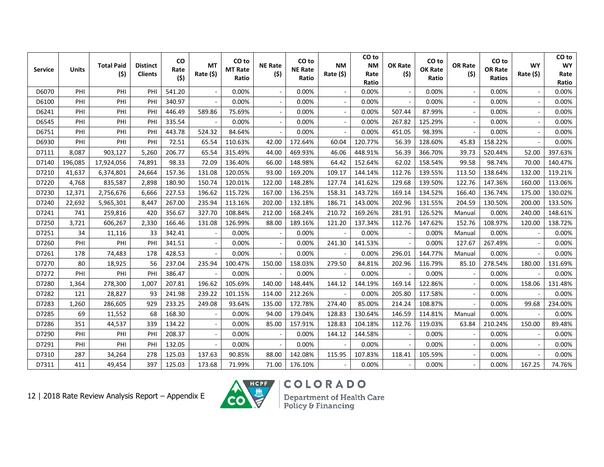| <b>Service</b> | <b>Units</b> | <b>Total Paid</b><br>(5) | <b>Distinct</b><br><b>Clients</b> | CO<br>Rate | <b>MT</b><br>Rate (\$) | CO to<br><b>MT Rate</b> | <b>NE Rate</b><br>(5)    | CO <sub>to</sub><br><b>NE Rate</b> | <b>NM</b><br>Rate (\$) | CO to<br><b>NM</b><br>Rate | <b>OK Rate</b><br>(5) | CO to<br>OK Rate | OR Rate<br>(5) | CO <sub>to</sub><br>OR Rate | <b>WY</b><br>Rate (\$) | CO to<br><b>WY</b><br>Rate |
|----------------|--------------|--------------------------|-----------------------------------|------------|------------------------|-------------------------|--------------------------|------------------------------------|------------------------|----------------------------|-----------------------|------------------|----------------|-----------------------------|------------------------|----------------------------|
|                |              |                          |                                   | (5)        |                        | Ratio                   |                          | Ratio                              |                        | Ratio                      |                       | Ratio            |                | <b>Ratios</b>               |                        | Ratio                      |
| D6070          | PHI          | PHI                      | PHI                               | 541.20     |                        | 0.00%                   | $\overline{\phantom{a}}$ | 0.00%                              |                        | 0.00%                      |                       | 0.00%            |                | 0.00%                       |                        | 0.00%                      |
| D6100          | PHI          | PHI                      | PHI                               | 340.97     |                        | 0.00%                   |                          | 0.00%                              |                        | 0.00%                      |                       | 0.00%            |                | 0.00%                       |                        | 0.00%                      |
| D6241          | PHI          | PHI                      | PHI                               | 446.49     | 589.86                 | 75.69%                  |                          | 0.00%                              |                        | 0.00%                      | 507.44                | 87.99%           |                | 0.00%                       |                        | 0.00%                      |
| D6545          | PHI          | PHI                      | PHI                               | 335.54     |                        | 0.00%                   | $\sim$                   | 0.00%                              |                        | 0.00%                      | 267.82                | 125.29%          |                | 0.00%                       |                        | 0.00%                      |
| D6751          | PHI          | PHI                      | PHI                               | 443.78     | 524.32                 | 84.64%                  | $\blacksquare$           | 0.00%                              |                        | 0.00%                      | 451.05                | 98.39%           |                | 0.00%                       |                        | 0.00%                      |
| D6930          | PHI          | PHI                      | PHI                               | 72.51      | 65.54                  | 110.63%                 | 42.00                    | 172.64%                            | 60.04                  | 120.77%                    | 56.39                 | 128.60%          | 45.83          | 158.22%                     |                        | 0.00%                      |
| D7111          | 8,087        | 903,127                  | 5,260                             | 206.77     | 65.54                  | 315.49%                 | 44.00                    | 469.93%                            | 46.06                  | 448.91%                    | 56.39                 | 366.70%          | 39.73          | 520.44%                     | 52.00                  | 397.63%                    |
| D7140          | 196,085      | 17,924,056               | 74,891                            | 98.33      | 72.09                  | 136.40%                 | 66.00                    | 148.98%                            | 64.42                  | 152.64%                    | 62.02                 | 158.54%          | 99.58          | 98.74%                      | 70.00                  | 140.47%                    |
| D7210          | 41,637       | 6,374,801                | 24,664                            | 157.36     | 131.08                 | 120.05%                 | 93.00                    | 169.20%                            | 109.17                 | 144.14%                    | 112.76                | 139.55%          | 113.50         | 138.64%                     | 132.00                 | 119.21%                    |
| D7220          | 4,768        | 835,587                  | 2,898                             | 180.90     | 150.74                 | 120.01%                 | 122.00                   | 148.28%                            | 127.74                 | 141.62%                    | 129.68                | 139.50%          | 122.76         | 147.36%                     | 160.00                 | 113.06%                    |
| D7230          | 12,371       | 2,756,676                | 6,666                             | 227.53     | 196.62                 | 115.72%                 | 167.00                   | 136.25%                            | 158.31                 | 143.72%                    | 169.14                | 134.52%          | 166.40         | 136.74%                     | 175.00                 | 130.02%                    |
| D7240          | 22,692       | 5,965,301                | 8,447                             | 267.00     | 235.94                 | 113.16%                 | 202.00                   | 132.18%                            | 186.71                 | 143.00%                    | 202.96                | 131.55%          | 204.59         | 130.50%                     | 200.00                 | 133.50%                    |
| D7241          | 741          | 259,816                  | 420                               | 356.67     | 327.70                 | 108.84%                 | 212.00                   | 168.24%                            | 210.72                 | 169.26%                    | 281.91                | 126.52%          | Manual         | 0.00%                       | 240.00                 | 148.61%                    |
| D7250          | 3,721        | 606,267                  | 2,330                             | 166.46     | 131.08                 | 126.99%                 | 88.00                    | 189.16%                            | 121.20                 | 137.34%                    | 112.76                | 147.62%          | 152.76         | 108.97%                     | 120.00                 | 138.72%                    |
| D7251          | 34           | 11,116                   | 33                                | 342.41     |                        | 0.00%                   |                          | 0.00%                              |                        | 0.00%                      |                       | 0.00%            | Manual         | 0.00%                       |                        | 0.00%                      |
| D7260          | PHI          | PHI                      | PHI                               | 341.51     |                        | 0.00%                   |                          | 0.00%                              | 241.30                 | 141.53%                    |                       | 0.00%            | 127.67         | 267.49%                     |                        | 0.00%                      |
| D7261          | 178          | 74,483                   | 178                               | 428.53     |                        | 0.00%                   | $\overline{\phantom{a}}$ | 0.00%                              |                        | 0.00%                      | 296.01                | 144.77%          | Manual         | 0.00%                       |                        | 0.00%                      |
| D7270          | 80           | 18,925                   | 56                                | 237.04     | 235.94                 | 100.47%                 | 150.00                   | 158.03%                            | 279.50                 | 84.81%                     | 202.96                | 116.79%          | 85.10          | 278.54%                     | 180.00                 | 131.69%                    |
| D7272          | PHI          | PHI                      | PHI                               | 386.47     |                        | 0.00%                   |                          | 0.00%                              |                        | 0.00%                      |                       | 0.00%            |                | 0.00%                       |                        | 0.00%                      |
| D7280          | 1,364        | 278,300                  | 1,007                             | 207.81     | 196.62                 | 105.69%                 | 140.00                   | 148.44%                            | 144.12                 | 144.19%                    | 169.14                | 122.86%          |                | 0.00%                       | 158.06                 | 131.48%                    |
| D7282          | 121          | 28,827                   | 93                                | 241.98     | 239.22                 | 101.15%                 | 114.00                   | 212.26%                            |                        | 0.00%                      | 205.80                | 117.58%          |                | 0.00%                       |                        | 0.00%                      |
| D7283          | 1,260        | 286,605                  | 929                               | 233.25     | 249.08                 | 93.64%                  | 135.00                   | 172.78%                            | 274.40                 | 85.00%                     | 214.24                | 108.87%          |                | 0.00%                       | 99.68                  | 234.00%                    |
| D7285          | 69           | 11,552                   | 68                                | 168.30     |                        | 0.00%                   | 94.00                    | 179.04%                            | 128.83                 | 130.64%                    | 146.59                | 114.81%          | Manual         | 0.00%                       |                        | 0.00%                      |
| D7286          | 351          | 44,537                   | 339                               | 134.22     |                        | 0.00%                   | 85.00                    | 157.91%                            | 128.83                 | 104.18%                    | 112.76                | 119.03%          | 63.84          | 210.24%                     | 150.00                 | 89.48%                     |
| D7290          | PHI          | PHI                      | PHI                               | 208.37     |                        | 0.00%                   | $\blacksquare$           | 0.00%                              | 144.12                 | 144.58%                    |                       | 0.00%            |                | 0.00%                       |                        | 0.00%                      |
| D7291          | PHI          | PHI                      | PHI                               | 132.05     |                        | 0.00%                   |                          | 0.00%                              |                        | 0.00%                      |                       | 0.00%            |                | 0.00%                       |                        | 0.00%                      |
| D7310          | 287          | 34,264                   | 278                               | 125.03     | 137.63                 | 90.85%                  | 88.00                    | 142.08%                            | 115.95                 | 107.83%                    | 118.41                | 105.59%          |                | 0.00%                       |                        | 0.00%                      |
| D7311          | 411          | 49,454                   | 397                               | 125.03     | 173.68                 | 71.99%                  | 71.00                    | 176.10%                            |                        | 0.00%                      |                       | 0.00%            |                | 0.00%                       | 167.25                 | 74.76%                     |

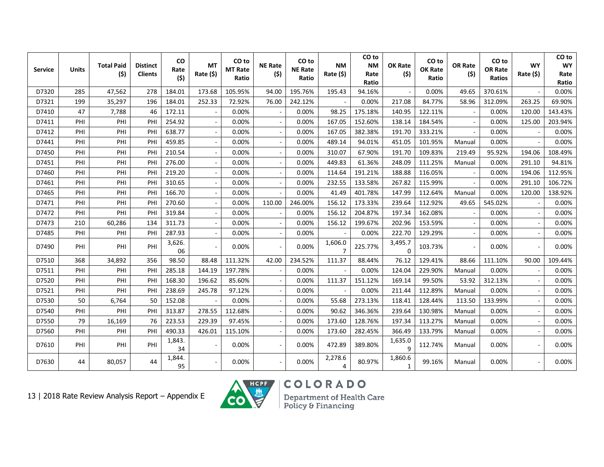| <b>Service</b> | <b>Units</b> | <b>Total Paid</b><br>(\$) | <b>Distinct</b><br><b>Clients</b> | <b>CO</b><br>Rate<br>(5) | <b>MT</b><br>Rate (\$) | CO to<br><b>MT Rate</b><br>Ratio | <b>NE Rate</b><br>(5)    | CO to<br><b>NE Rate</b><br>Ratio | <b>NM</b><br>Rate (\$)    | CO to<br><b>NM</b><br>Rate<br>Ratio | <b>OK Rate</b><br>(5)   | CO to<br>OK Rate<br>Ratio | <b>OR Rate</b><br>(5) | CO <sub>to</sub><br>OR Rate<br><b>Ratios</b> | <b>WY</b><br>Rate (\$) | CO to<br><b>WY</b><br>Rate<br>Ratio |
|----------------|--------------|---------------------------|-----------------------------------|--------------------------|------------------------|----------------------------------|--------------------------|----------------------------------|---------------------------|-------------------------------------|-------------------------|---------------------------|-----------------------|----------------------------------------------|------------------------|-------------------------------------|
| D7320          | 285          | 47,562                    | 278                               | 184.01                   | 173.68                 | 105.95%                          | 94.00                    | 195.76%                          | 195.43                    | 94.16%                              |                         | 0.00%                     | 49.65                 | 370.61%                                      |                        | 0.00%                               |
| D7321          | 199          | 35,297                    | 196                               | 184.01                   | 252.33                 | 72.92%                           | 76.00                    | 242.12%                          |                           | 0.00%                               | 217.08                  | 84.77%                    | 58.96                 | 312.09%                                      | 263.25                 | 69.90%                              |
| D7410          | 47           | 7,788                     | 46                                | 172.11                   |                        | 0.00%                            |                          | 0.00%                            | 98.25                     | 175.18%                             | 140.95                  | 122.11%                   |                       | 0.00%                                        | 120.00                 | 143.43%                             |
| D7411          | PHI          | PHI                       | PHI                               | 254.92                   |                        | 0.00%                            | $\overline{\phantom{a}}$ | 0.00%                            | 167.05                    | 152.60%                             | 138.14                  | 184.54%                   |                       | 0.00%                                        | 125.00                 | 203.94%                             |
| D7412          | PHI          | PHI                       | PHI                               | 638.77                   |                        | 0.00%                            | $\sim$                   | 0.00%                            | 167.05                    | 382.38%                             | 191.70                  | 333.21%                   |                       | 0.00%                                        |                        | 0.00%                               |
| D7441          | PHI          | PHI                       | PHI                               | 459.85                   |                        | 0.00%                            |                          | 0.00%                            | 489.14                    | 94.01%                              | 451.05                  | 101.95%                   | Manual                | 0.00%                                        |                        | 0.00%                               |
| D7450          | PHI          | PHI                       | PHI                               | 210.54                   |                        | 0.00%                            | $\overline{a}$           | 0.00%                            | 310.07                    | 67.90%                              | 191.70                  | 109.83%                   | 219.49                | 95.92%                                       | 194.06                 | 108.49%                             |
| D7451          | PHI          | PHI                       | PHI                               | 276.00                   |                        | 0.00%                            |                          | 0.00%                            | 449.83                    | 61.36%                              | 248.09                  | 111.25%                   | Manual                | 0.00%                                        | 291.10                 | 94.81%                              |
| D7460          | PHI          | PHI                       | PHI                               | 219.20                   |                        | 0.00%                            |                          | 0.00%                            | 114.64                    | 191.21%                             | 188.88                  | 116.05%                   |                       | 0.00%                                        | 194.06                 | 112.95%                             |
| D7461          | PHI          | PHI                       | PHI                               | 310.65                   |                        | 0.00%                            | ÷,                       | 0.00%                            | 232.55                    | 133.58%                             | 267.82                  | 115.99%                   |                       | 0.00%                                        | 291.10                 | 106.72%                             |
| D7465          | PHI          | PHI                       | PHI                               | 166.70                   |                        | 0.00%                            |                          | 0.00%                            | 41.49                     | 401.78%                             | 147.99                  | 112.64%                   | Manual                | 0.00%                                        | 120.00                 | 138.92%                             |
| D7471          | PHI          | PHI                       | PHI                               | 270.60                   |                        | 0.00%                            | 110.00                   | 246.00%                          | 156.12                    | 173.33%                             | 239.64                  | 112.92%                   | 49.65                 | 545.02%                                      |                        | 0.00%                               |
| D7472          | PHI          | PHI                       | PHI                               | 319.84                   |                        | 0.00%                            |                          | 0.00%                            | 156.12                    | 204.87%                             | 197.34                  | 162.08%                   |                       | 0.00%                                        |                        | 0.00%                               |
| D7473          | 210          | 60,286                    | 134                               | 311.73                   |                        | 0.00%                            |                          | 0.00%                            | 156.12                    | 199.67%                             | 202.96                  | 153.59%                   |                       | 0.00%                                        |                        | 0.00%                               |
| D7485          | PHI          | PHI                       | PHI                               | 287.93                   |                        | 0.00%                            | $\blacksquare$           | 0.00%                            |                           | 0.00%                               | 222.70                  | 129.29%                   |                       | 0.00%                                        |                        | 0.00%                               |
| D7490          | PHI          | PHI                       | PHI                               | 3,626.<br>06             |                        | 0.00%                            | $\blacksquare$           | 0.00%                            | 1,606.0<br>7              | 225.77%                             | 3,495.7<br>0            | 103.73%                   |                       | 0.00%                                        |                        | 0.00%                               |
| D7510          | 368          | 34,892                    | 356                               | 98.50                    | 88.48                  | 111.32%                          | 42.00                    | 234.52%                          | 111.37                    | 88.44%                              | 76.12                   | 129.41%                   | 88.66                 | 111.10%                                      | 90.00                  | 109.44%                             |
| D7511          | PHI          | PHI                       | PHI                               | 285.18                   | 144.19                 | 197.78%                          |                          | 0.00%                            |                           | 0.00%                               | 124.04                  | 229.90%                   | Manual                | 0.00%                                        |                        | 0.00%                               |
| D7520          | PHI          | PHI                       | PHI                               | 168.30                   | 196.62                 | 85.60%                           |                          | 0.00%                            | 111.37                    | 151.12%                             | 169.14                  | 99.50%                    | 53.92                 | 312.13%                                      |                        | 0.00%                               |
| D7521          | PHI          | PHI                       | PHI                               | 238.69                   | 245.78                 | 97.12%                           |                          | 0.00%                            |                           | 0.00%                               | 211.44                  | 112.89%                   | Manual                | 0.00%                                        |                        | 0.00%                               |
| D7530          | 50           | 6,764                     | 50                                | 152.08                   |                        | 0.00%                            | $\overline{\phantom{a}}$ | 0.00%                            | 55.68                     | 273.13%                             | 118.41                  | 128.44%                   | 113.50                | 133.99%                                      |                        | 0.00%                               |
| D7540          | PHI          | PHI                       | PHI                               | 313.87                   | 278.55                 | 112.68%                          |                          | 0.00%                            | 90.62                     | 346.36%                             | 239.64                  | 130.98%                   | Manual                | 0.00%                                        |                        | 0.00%                               |
| D7550          | 79           | 16,169                    | 76                                | 223.53                   | 229.39                 | 97.45%                           |                          | 0.00%                            | 173.60                    | 128.76%                             | 197.34                  | 113.27%                   | Manual                | 0.00%                                        |                        | 0.00%                               |
| D7560          | PHI          | PHI                       | PHI                               | 490.33                   | 426.01                 | 115.10%                          | $\overline{a}$           | 0.00%                            | 173.60                    | 282.45%                             | 366.49                  | 133.79%                   | Manual                | 0.00%                                        |                        | 0.00%                               |
| D7610          | PHI          | PHI                       | PHI                               | 1,843.<br>34             |                        | 0.00%                            | $\blacksquare$           | 0.00%                            | 472.89                    | 389.80%                             | 1,635.0<br>9            | 112.74%                   | Manual                | 0.00%                                        |                        | 0.00%                               |
| D7630          | 44           | 80,057                    | 44                                | 1,844.<br>95             |                        | 0.00%                            | $\sim$                   | 0.00%                            | 2,278.6<br>$\overline{4}$ | 80.97%                              | 1,860.6<br>$\mathbf{1}$ | 99.16%                    | Manual                | 0.00%                                        |                        | 0.00%                               |



COLORADO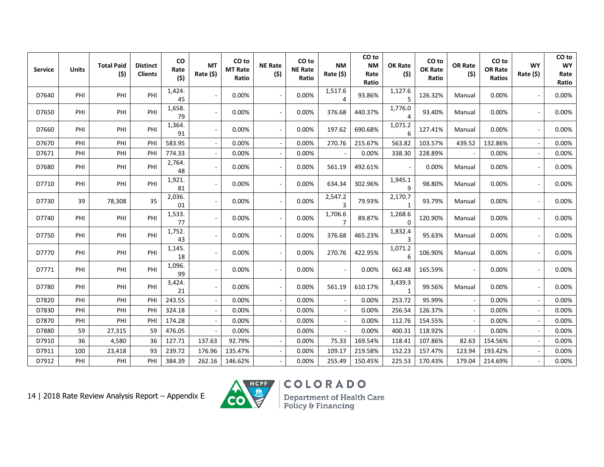| <b>Service</b> | <b>Units</b> | <b>Total Paid</b><br>(5) | <b>Distinct</b><br><b>Clients</b> | CO<br>Rate<br>(5) | <b>MT</b><br>Rate (\$) | CO to<br><b>MT Rate</b><br>Ratio | <b>NE Rate</b><br>(5)    | CO <sub>to</sub><br><b>NE Rate</b><br>Ratio | NΜ<br>Rate (\$)           | CO to<br><b>NM</b><br>Rate<br>Ratio | <b>OK Rate</b><br>(\$)    | CO to<br>OK Rate<br>Ratio | OR Rate<br>(5) | CO to<br>OR Rate<br>Ratios | <b>WY</b><br>Rate (\$) | CO to<br><b>WY</b><br>Rate<br>Ratio |
|----------------|--------------|--------------------------|-----------------------------------|-------------------|------------------------|----------------------------------|--------------------------|---------------------------------------------|---------------------------|-------------------------------------|---------------------------|---------------------------|----------------|----------------------------|------------------------|-------------------------------------|
| D7640          | PHI          | PHI                      | PHI                               | 1,424.<br>45      |                        | 0.00%                            |                          | 0.00%                                       | 1,517.6<br>4              | 93.86%                              | 1,127.6<br>5              | 126.32%                   | Manual         | 0.00%                      |                        | 0.00%                               |
| D7650          | PHI          | PHI                      | PHI                               | 1,658.<br>79      |                        | 0.00%                            | $\overline{\phantom{a}}$ | 0.00%                                       | 376.68                    | 440.37%                             | 1,776.0<br>4              | 93.40%                    | Manual         | 0.00%                      |                        | 0.00%                               |
| D7660          | PHI          | PHI                      | PHI                               | 1,364.<br>91      |                        | 0.00%                            | $\overline{\phantom{a}}$ | 0.00%                                       | 197.62                    | 690.68%                             | 1,071.2<br>6              | 127.41%                   | Manual         | 0.00%                      |                        | 0.00%                               |
| D7670          | PHI          | PHI                      | PHI                               | 583.95            |                        | 0.00%                            | $\overline{\phantom{a}}$ | 0.00%                                       | 270.76                    | 215.67%                             | 563.82                    | 103.57%                   | 439.52         | 132.86%                    |                        | 0.00%                               |
| D7671          | PHI          | PHI                      | PHI                               | 774.33            |                        | 0.00%                            |                          | 0.00%                                       |                           | 0.00%                               | 338.30                    | 228.89%                   |                | 0.00%                      |                        | 0.00%                               |
| D7680          | PHI          | PHI                      | PHI                               | 2,764.<br>48      |                        | 0.00%                            | $\overline{\phantom{a}}$ | 0.00%                                       | 561.19                    | 492.61%                             |                           | 0.00%                     | Manual         | 0.00%                      |                        | 0.00%                               |
| D7710          | PHI          | PHI                      | PHI                               | 1,921.<br>81      |                        | 0.00%                            | $\overline{\phantom{a}}$ | 0.00%                                       | 634.34                    | 302.96%                             | 1,945.1<br>9              | 98.80%                    | Manual         | 0.00%                      |                        | 0.00%                               |
| D7730          | 39           | 78,308                   | 35                                | 2,036.<br>01      |                        | 0.00%                            | $\overline{\phantom{a}}$ | 0.00%                                       | 2,547.2<br>3              | 79.93%                              | 2,170.7<br>$\mathbf 1$    | 93.79%                    | Manual         | 0.00%                      |                        | 0.00%                               |
| D7740          | PHI          | PHI                      | PHI                               | 1,533.<br>77      |                        | 0.00%                            | $\overline{\phantom{a}}$ | 0.00%                                       | 1,706.6<br>$\overline{7}$ | 89.87%                              | 1,268.6<br>$\Omega$       | 120.90%                   | Manual         | 0.00%                      |                        | 0.00%                               |
| D7750          | PHI          | PHI                      | PHI                               | 1,752.<br>43      |                        | 0.00%                            | $\overline{\phantom{a}}$ | 0.00%                                       | 376.68                    | 465.23%                             | 1,832.4<br>$\overline{3}$ | 95.63%                    | Manual         | 0.00%                      |                        | 0.00%                               |
| D7770          | PHI          | PHI                      | PHI                               | 1,145.<br>18      |                        | 0.00%                            | $\overline{\phantom{a}}$ | 0.00%                                       | 270.76                    | 422.95%                             | 1,071.2<br>6              | 106.90%                   | Manual         | 0.00%                      |                        | 0.00%                               |
| D7771          | PHI          | PHI                      | PHI                               | 1,096.<br>99      |                        | 0.00%                            | $\overline{\phantom{a}}$ | 0.00%                                       |                           | 0.00%                               | 662.48                    | 165.59%                   |                | 0.00%                      |                        | 0.00%                               |
| D7780          | PHI          | PHI                      | PHI                               | 3,424.<br>21      |                        | 0.00%                            | $\overline{\phantom{a}}$ | 0.00%                                       | 561.19                    | 610.17%                             | 3,439.3<br>1              | 99.56%                    | Manual         | 0.00%                      |                        | 0.00%                               |
| D7820          | PHI          | PHI                      | PHI                               | 243.55            |                        | 0.00%                            |                          | 0.00%                                       |                           | 0.00%                               | 253.72                    | 95.99%                    |                | 0.00%                      |                        | 0.00%                               |
| D7830          | PHI          | PHI                      | PHI                               | 324.18            |                        | 0.00%                            |                          | 0.00%                                       |                           | 0.00%                               | 256.54                    | 126.37%                   |                | 0.00%                      |                        | 0.00%                               |
| D7870          | PHI          | PHI                      | PHI                               | 174.28            |                        | 0.00%                            |                          | 0.00%                                       |                           | 0.00%                               | 112.76                    | 154.55%                   |                | 0.00%                      |                        | 0.00%                               |
| D7880          | 59           | 27,315                   | 59                                | 476.05            |                        | 0.00%                            |                          | 0.00%                                       |                           | 0.00%                               | 400.31                    | 118.92%                   |                | 0.00%                      |                        | 0.00%                               |
| D7910          | 36           | 4,580                    | 36                                | 127.71            | 137.63                 | 92.79%                           | $\overline{\phantom{a}}$ | 0.00%                                       | 75.33                     | 169.54%                             | 118.41                    | 107.86%                   | 82.63          | 154.56%                    |                        | 0.00%                               |
| D7911          | 100          | 23,418                   | 93                                | 239.72            | 176.96                 | 135.47%                          |                          | 0.00%                                       | 109.17                    | 219.58%                             | 152.23                    | 157.47%                   | 123.94         | 193.42%                    |                        | 0.00%                               |
| D7912          | PHI          | PHI                      | PHI                               | 384.39            | 262.16                 | 146.62%                          |                          | 0.00%                                       | 255.49                    | 150.45%                             | 225.53                    | 170.43%                   | 179.04         | 214.69%                    |                        | 0.00%                               |

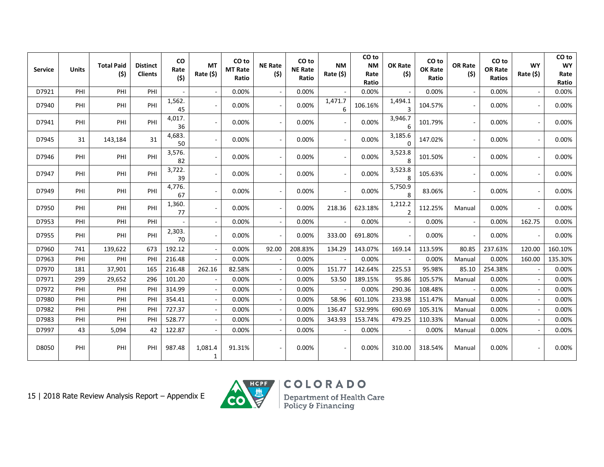| <b>Service</b> | <b>Units</b> | <b>Total Paid</b><br>(\$) | <b>Distinct</b><br><b>Clients</b> | <b>CO</b><br>Rate<br>(5) | <b>MT</b><br>Rate (\$)  | CO to<br><b>MT Rate</b><br>Ratio | <b>NE Rate</b><br>(5)    | CO to<br><b>NE Rate</b><br>Ratio | <b>NM</b><br>Rate (\$) | CO <sub>to</sub><br><b>NM</b><br>Rate<br>Ratio | OK Rate<br>(5)            | CO to<br>OK Rate<br>Ratio | <b>OR Rate</b><br>(5) | CO to<br><b>OR Rate</b><br>Ratios | <b>WY</b><br>Rate (\$) | CO to<br><b>WY</b><br>Rate<br>Ratio |
|----------------|--------------|---------------------------|-----------------------------------|--------------------------|-------------------------|----------------------------------|--------------------------|----------------------------------|------------------------|------------------------------------------------|---------------------------|---------------------------|-----------------------|-----------------------------------|------------------------|-------------------------------------|
| D7921          | PHI          | PHI                       | PHI                               |                          |                         | 0.00%                            | $\sim$                   | 0.00%                            |                        | 0.00%                                          |                           | 0.00%                     |                       | 0.00%                             |                        | 0.00%                               |
| D7940          | PHI          | PHI                       | PHI                               | 1,562.<br>45             |                         | 0.00%                            | $\overline{\phantom{a}}$ | 0.00%                            | 1,471.7<br>6           | 106.16%                                        | 1,494.1<br>3              | 104.57%                   |                       | 0.00%                             |                        | 0.00%                               |
| D7941          | PHI          | PHI                       | PHI                               | 4,017.<br>36             |                         | 0.00%                            | $\overline{\phantom{a}}$ | 0.00%                            |                        | 0.00%                                          | 3,946.7<br>6              | 101.79%                   |                       | 0.00%                             |                        | 0.00%                               |
| D7945          | 31           | 143,184                   | 31                                | 4,683.<br>50             |                         | 0.00%                            | $\overline{\phantom{a}}$ | 0.00%                            |                        | 0.00%                                          | 3,185.6<br>0              | 147.02%                   |                       | 0.00%                             |                        | 0.00%                               |
| D7946          | PHI          | PHI                       | PHI                               | 3,576.<br>82             |                         | 0.00%                            | $\overline{\phantom{a}}$ | 0.00%                            |                        | 0.00%                                          | 3,523.8<br>8              | 101.50%                   |                       | 0.00%                             |                        | 0.00%                               |
| D7947          | PHI          | PHI                       | PHI                               | 3,722.<br>39             |                         | 0.00%                            | $\overline{\phantom{a}}$ | 0.00%                            |                        | 0.00%                                          | 3,523.8<br>8              | 105.63%                   |                       | 0.00%                             |                        | 0.00%                               |
| D7949          | PHI          | PHI                       | PHI                               | 4,776.<br>67             |                         | 0.00%                            | $\overline{\phantom{a}}$ | 0.00%                            |                        | 0.00%                                          | 5,750.9<br>8              | 83.06%                    |                       | 0.00%                             |                        | 0.00%                               |
| D7950          | PHI          | PHI                       | PHI                               | 1,360.<br>77             |                         | 0.00%                            | $\overline{\phantom{a}}$ | 0.00%                            | 218.36                 | 623.18%                                        | 1,212.2<br>$\overline{2}$ | 112.25%                   | Manual                | 0.00%                             |                        | 0.00%                               |
| D7953          | PHI          | PHI                       | PHI                               |                          |                         | 0.00%                            | $\overline{a}$           | 0.00%                            |                        | 0.00%                                          |                           | 0.00%                     |                       | 0.00%                             | 162.75                 | 0.00%                               |
| D7955          | PHI          | PHI                       | PHI                               | 2,303.<br>70             |                         | 0.00%                            | $\overline{\phantom{a}}$ | 0.00%                            | 333.00                 | 691.80%                                        |                           | 0.00%                     |                       | 0.00%                             |                        | 0.00%                               |
| D7960          | 741          | 139,622                   | 673                               | 192.12                   |                         | 0.00%                            | 92.00                    | 208.83%                          | 134.29                 | 143.07%                                        | 169.14                    | 113.59%                   | 80.85                 | 237.63%                           | 120.00                 | 160.10%                             |
| D7963          | PHI          | PHI                       | PHI                               | 216.48                   |                         | 0.00%                            |                          | 0.00%                            |                        | 0.00%                                          |                           | 0.00%                     | Manual                | 0.00%                             | 160.00                 | 135.30%                             |
| D7970          | 181          | 37,901                    | 165                               | 216.48                   | 262.16                  | 82.58%                           | $\sim$                   | 0.00%                            | 151.77                 | 142.64%                                        | 225.53                    | 95.98%                    | 85.10                 | 254.38%                           |                        | 0.00%                               |
| D7971          | 299          | 29,652                    | 296                               | 101.20                   |                         | 0.00%                            | $\overline{\phantom{a}}$ | 0.00%                            | 53.50                  | 189.15%                                        | 95.86                     | 105.57%                   | Manual                | 0.00%                             |                        | 0.00%                               |
| D7972          | PHI          | PHI                       | PHI                               | 314.99                   |                         | 0.00%                            | $\overline{\phantom{a}}$ | 0.00%                            |                        | 0.00%                                          | 290.36                    | 108.48%                   |                       | 0.00%                             |                        | 0.00%                               |
| D7980          | PHI          | PHI                       | PHI                               | 354.41                   |                         | 0.00%                            | $\overline{\phantom{a}}$ | 0.00%                            | 58.96                  | 601.10%                                        | 233.98                    | 151.47%                   | Manual                | 0.00%                             |                        | 0.00%                               |
| D7982          | PHI          | PHI                       | PHI                               | 727.37                   |                         | 0.00%                            | $\overline{\phantom{a}}$ | 0.00%                            | 136.47                 | 532.99%                                        | 690.69                    | 105.31%                   | Manual                | 0.00%                             |                        | 0.00%                               |
| D7983          | PHI          | PHI                       | PHI                               | 528.77                   |                         | 0.00%                            |                          | 0.00%                            | 343.93                 | 153.74%                                        | 479.25                    | 110.33%                   | Manual                | 0.00%                             |                        | 0.00%                               |
| D7997          | 43           | 5,094                     | 42                                | 122.87                   |                         | 0.00%                            | $\sim$                   | 0.00%                            |                        | 0.00%                                          |                           | 0.00%                     | Manual                | 0.00%                             |                        | 0.00%                               |
| D8050          | PHI          | PHI                       | PHI                               | 987.48                   | 1,081.4<br>$\mathbf{1}$ | 91.31%                           | $\overline{\phantom{a}}$ | 0.00%                            |                        | 0.00%                                          | 310.00                    | 318.54%                   | Manual                | 0.00%                             |                        | 0.00%                               |

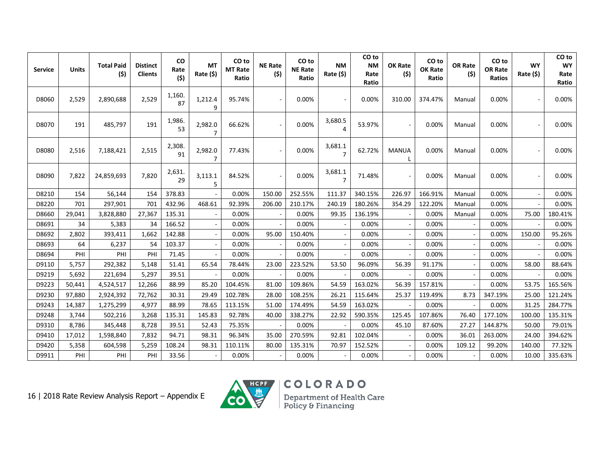| <b>Service</b> | <b>Units</b> | <b>Total Paid</b><br>(\$) | <b>Distinct</b><br><b>Clients</b> | <b>CO</b><br>Rate<br>(\$) | <b>MT</b><br>Rate (\$)    | CO to<br><b>MT Rate</b><br>Ratio | <b>NE Rate</b><br>(5) | CO to<br><b>NE Rate</b><br>Ratio | <b>NM</b><br>Rate (\$)    | CO <sub>to</sub><br><b>NM</b><br>Rate<br>Ratio | OK Rate<br>(5) | CO to<br>OK Rate<br>Ratio | OR Rate<br>(5) | CO <sub>to</sub><br><b>OR Rate</b><br>Ratios | <b>WY</b><br>Rate (\$) | CO to<br><b>WY</b><br>Rate<br>Ratio |
|----------------|--------------|---------------------------|-----------------------------------|---------------------------|---------------------------|----------------------------------|-----------------------|----------------------------------|---------------------------|------------------------------------------------|----------------|---------------------------|----------------|----------------------------------------------|------------------------|-------------------------------------|
| D8060          | 2,529        | 2,890,688                 | 2,529                             | 1,160.<br>87              | 1,212.4<br>9              | 95.74%                           |                       | 0.00%                            |                           | 0.00%                                          | 310.00         | 374.47%                   | Manual         | 0.00%                                        |                        | 0.00%                               |
| D8070          | 191          | 485,797                   | 191                               | 1,986.<br>53              | 2,982.0<br>$\overline{7}$ | 66.62%                           |                       | 0.00%                            | 3,680.5<br>4              | 53.97%                                         |                | 0.00%                     | Manual         | 0.00%                                        |                        | 0.00%                               |
| D8080          | 2,516        | 7,188,421                 | 2,515                             | 2,308.<br>91              | 2,982.0<br>$\overline{7}$ | 77.43%                           |                       | 0.00%                            | 3,681.1<br>$\overline{7}$ | 62.72%                                         | <b>MANUA</b>   | 0.00%                     | Manual         | 0.00%                                        |                        | 0.00%                               |
| D8090          | 7,822        | 24,859,693                | 7,820                             | 2,631.<br>29              | 3,113.1<br>5              | 84.52%                           |                       | 0.00%                            | 3,681.1<br>$\overline{7}$ | 71.48%                                         |                | 0.00%                     | Manual         | 0.00%                                        |                        | 0.00%                               |
| D8210          | 154          | 56,144                    | 154                               | 378.83                    |                           | 0.00%                            | 150.00                | 252.55%                          | 111.37                    | 340.15%                                        | 226.97         | 166.91%                   | Manual         | 0.00%                                        |                        | 0.00%                               |
| D8220          | 701          | 297,901                   | 701                               | 432.96                    | 468.61                    | 92.39%                           | 206.00                | 210.17%                          | 240.19                    | 180.26%                                        | 354.29         | 122.20%                   | Manual         | 0.00%                                        |                        | 0.00%                               |
| D8660          | 29,041       | 3,828,880                 | 27,367                            | 135.31                    |                           | 0.00%                            |                       | 0.00%                            | 99.35                     | 136.19%                                        |                | 0.00%                     | Manual         | 0.00%                                        | 75.00                  | 180.41%                             |
| D8691          | 34           | 5,383                     | 34                                | 166.52                    |                           | 0.00%                            |                       | 0.00%                            |                           | 0.00%                                          |                | 0.00%                     |                | 0.00%                                        |                        | 0.00%                               |
| D8692          | 2,802        | 393,411                   | 1,662                             | 142.88                    |                           | 0.00%                            | 95.00                 | 150.40%                          |                           | 0.00%                                          |                | 0.00%                     |                | 0.00%                                        | 150.00                 | 95.26%                              |
| D8693          | 64           | 6,237                     | 54                                | 103.37                    |                           | 0.00%                            |                       | 0.00%                            |                           | 0.00%                                          |                | 0.00%                     |                | 0.00%                                        |                        | 0.00%                               |
| D8694          | PHI          | PHI                       | PHI                               | 71.45                     |                           | 0.00%                            |                       | 0.00%                            |                           | 0.00%                                          |                | 0.00%                     |                | 0.00%                                        |                        | 0.00%                               |
| D9110          | 5,757        | 292,382                   | 5,148                             | 51.41                     | 65.54                     | 78.44%                           | 23.00                 | 223.52%                          | 53.50                     | 96.09%                                         | 56.39          | 91.17%                    |                | 0.00%                                        | 58.00                  | 88.64%                              |
| D9219          | 5,692        | 221,694                   | 5,297                             | 39.51                     |                           | 0.00%                            |                       | 0.00%                            |                           | 0.00%                                          |                | 0.00%                     |                | 0.00%                                        |                        | 0.00%                               |
| D9223          | 50,441       | 4,524,517                 | 12,266                            | 88.99                     | 85.20                     | 104.45%                          | 81.00                 | 109.86%                          | 54.59                     | 163.02%                                        | 56.39          | 157.81%                   |                | 0.00%                                        | 53.75                  | 165.56%                             |
| D9230          | 97,880       | 2,924,392                 | 72,762                            | 30.31                     | 29.49                     | 102.78%                          | 28.00                 | 108.25%                          | 26.21                     | 115.64%                                        | 25.37          | 119.49%                   | 8.73           | 347.19%                                      | 25.00                  | 121.24%                             |
| D9243          | 14,387       | 1,275,299                 | 4,977                             | 88.99                     | 78.65                     | 113.15%                          | 51.00                 | 174.49%                          | 54.59                     | 163.02%                                        |                | 0.00%                     |                | 0.00%                                        | 31.25                  | 284.77%                             |
| D9248          | 3,744        | 502,216                   | 3,268                             | 135.31                    | 145.83                    | 92.78%                           | 40.00                 | 338.27%                          | 22.92                     | 590.35%                                        | 125.45         | 107.86%                   | 76.40          | 177.10%                                      | 100.00                 | 135.31%                             |
| D9310          | 8,786        | 345,448                   | 8,728                             | 39.51                     | 52.43                     | 75.35%                           |                       | 0.00%                            |                           | 0.00%                                          | 45.10          | 87.60%                    | 27.27          | 144.87%                                      | 50.00                  | 79.01%                              |
| D9410          | 17,012       | 1,598,840                 | 7,832                             | 94.71                     | 98.31                     | 96.34%                           | 35.00                 | 270.59%                          | 92.81                     | 102.04%                                        |                | 0.00%                     | 36.01          | 263.00%                                      | 24.00                  | 394.62%                             |
| D9420          | 5,358        | 604,598                   | 5,259                             | 108.24                    | 98.31                     | 110.11%                          | 80.00                 | 135.31%                          | 70.97                     | 152.52%                                        |                | 0.00%                     | 109.12         | 99.20%                                       | 140.00                 | 77.32%                              |
| D9911          | PHI          | PHI                       | PHI                               | 33.56                     |                           | $0.00\%$                         |                       | 0.00%                            |                           | 0.00%                                          |                | 0.00%                     |                | 0.00%                                        | 10.00                  | 335.63%                             |